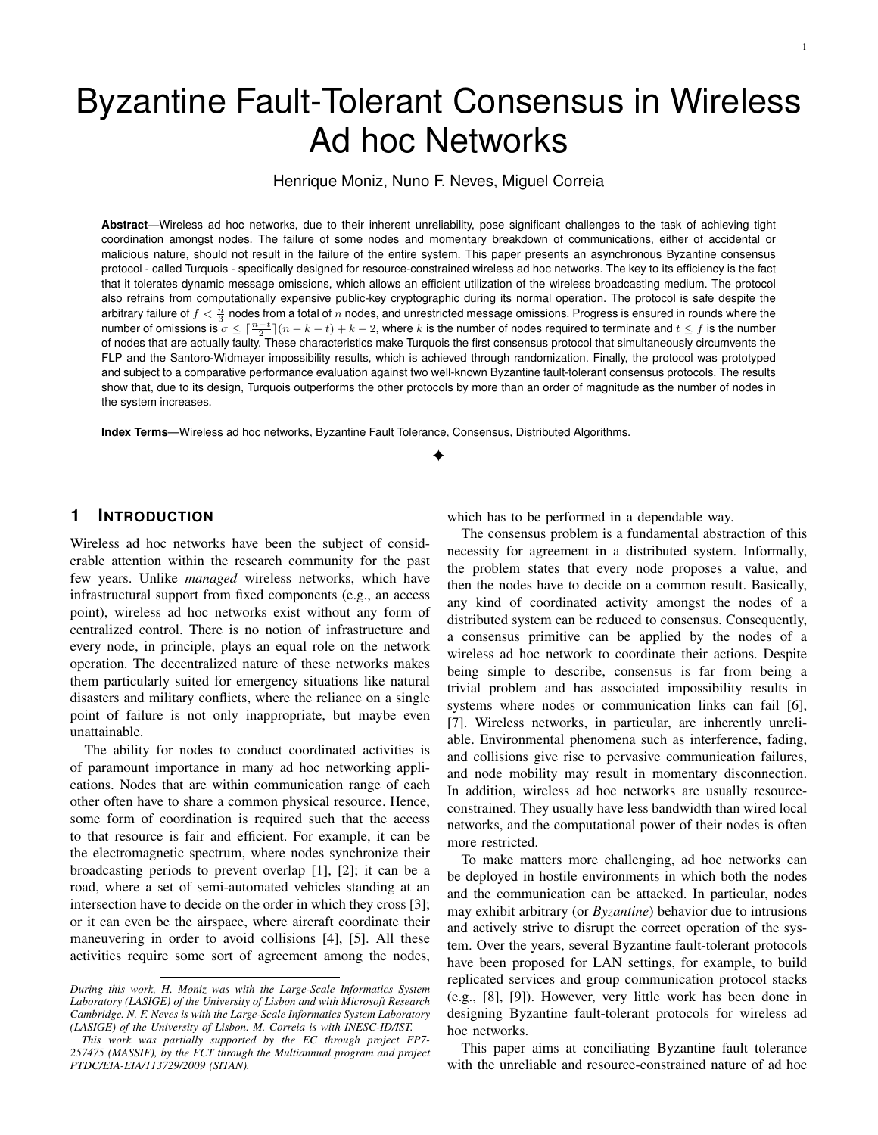# Byzantine Fault-Tolerant Consensus in Wireless Ad hoc Networks

Henrique Moniz, Nuno F. Neves, Miguel Correia

**Abstract**—Wireless ad hoc networks, due to their inherent unreliability, pose significant challenges to the task of achieving tight coordination amongst nodes. The failure of some nodes and momentary breakdown of communications, either of accidental or malicious nature, should not result in the failure of the entire system. This paper presents an asynchronous Byzantine consensus protocol - called Turquois - specifically designed for resource-constrained wireless ad hoc networks. The key to its efficiency is the fact that it tolerates dynamic message omissions, which allows an efficient utilization of the wireless broadcasting medium. The protocol also refrains from computationally expensive public-key cryptographic during its normal operation. The protocol is safe despite the arbitrary failure of  $f<\frac{n}{3}$  nodes from a total of  $n$  nodes, and unrestricted message omissions. Progress is ensured in rounds where the number of omissions is  $\sigma\leq\lceil\frac{n-t}{2}\rceil(n-k-t)+k-2,$  where  $k$  is the number of nodes required to terminate and  $t\leq f$  is the number of nodes that are actually faulty. These characteristics make Turquois the first consensus protocol that simultaneously circumvents the FLP and the Santoro-Widmayer impossibility results, which is achieved through randomization. Finally, the protocol was prototyped and subject to a comparative performance evaluation against two well-known Byzantine fault-tolerant consensus protocols. The results show that, due to its design, Turquois outperforms the other protocols by more than an order of magnitude as the number of nodes in the system increases.

✦

**Index Terms**—Wireless ad hoc networks, Byzantine Fault Tolerance, Consensus, Distributed Algorithms.

## **1 INTRODUCTION**

Wireless ad hoc networks have been the subject of considerable attention within the research community for the past few years. Unlike *managed* wireless networks, which have infrastructural support from fixed components (e.g., an access point), wireless ad hoc networks exist without any form of centralized control. There is no notion of infrastructure and every node, in principle, plays an equal role on the network operation. The decentralized nature of these networks makes them particularly suited for emergency situations like natural disasters and military conflicts, where the reliance on a single point of failure is not only inappropriate, but maybe even unattainable.

The ability for nodes to conduct coordinated activities is of paramount importance in many ad hoc networking applications. Nodes that are within communication range of each other often have to share a common physical resource. Hence, some form of coordination is required such that the access to that resource is fair and efficient. For example, it can be the electromagnetic spectrum, where nodes synchronize their broadcasting periods to prevent overlap [1], [2]; it can be a road, where a set of semi-automated vehicles standing at an intersection have to decide on the order in which they cross [3]; or it can even be the airspace, where aircraft coordinate their maneuvering in order to avoid collisions [4], [5]. All these activities require some sort of agreement among the nodes,

which has to be performed in a dependable way.

The consensus problem is a fundamental abstraction of this necessity for agreement in a distributed system. Informally, the problem states that every node proposes a value, and then the nodes have to decide on a common result. Basically, any kind of coordinated activity amongst the nodes of a distributed system can be reduced to consensus. Consequently, a consensus primitive can be applied by the nodes of a wireless ad hoc network to coordinate their actions. Despite being simple to describe, consensus is far from being a trivial problem and has associated impossibility results in systems where nodes or communication links can fail [6], [7]. Wireless networks, in particular, are inherently unreliable. Environmental phenomena such as interference, fading, and collisions give rise to pervasive communication failures, and node mobility may result in momentary disconnection. In addition, wireless ad hoc networks are usually resourceconstrained. They usually have less bandwidth than wired local networks, and the computational power of their nodes is often more restricted.

To make matters more challenging, ad hoc networks can be deployed in hostile environments in which both the nodes and the communication can be attacked. In particular, nodes may exhibit arbitrary (or *Byzantine*) behavior due to intrusions and actively strive to disrupt the correct operation of the system. Over the years, several Byzantine fault-tolerant protocols have been proposed for LAN settings, for example, to build replicated services and group communication protocol stacks (e.g., [8], [9]). However, very little work has been done in designing Byzantine fault-tolerant protocols for wireless ad hoc networks.

This paper aims at conciliating Byzantine fault tolerance with the unreliable and resource-constrained nature of ad hoc

*During this work, H. Moniz was with the Large-Scale Informatics System Laboratory (LASIGE) of the University of Lisbon and with Microsoft Research Cambridge. N. F. Neves is with the Large-Scale Informatics System Laboratory (LASIGE) of the University of Lisbon. M. Correia is with INESC-ID/IST.*

*This work was partially supported by the EC through project FP7- 257475 (MASSIF), by the FCT through the Multiannual program and project PTDC/EIA-EIA/113729/2009 (SITAN).*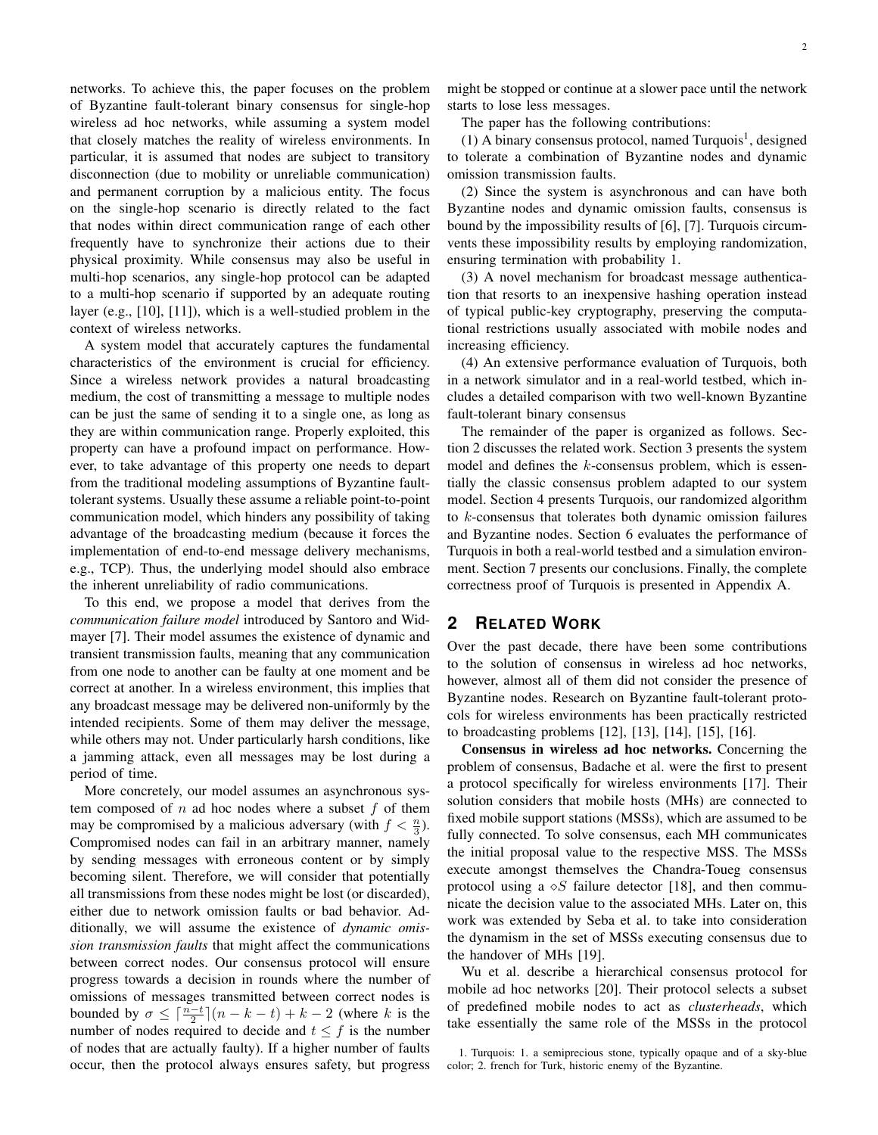networks. To achieve this, the paper focuses on the problem of Byzantine fault-tolerant binary consensus for single-hop wireless ad hoc networks, while assuming a system model that closely matches the reality of wireless environments. In particular, it is assumed that nodes are subject to transitory disconnection (due to mobility or unreliable communication) and permanent corruption by a malicious entity. The focus on the single-hop scenario is directly related to the fact that nodes within direct communication range of each other frequently have to synchronize their actions due to their physical proximity. While consensus may also be useful in multi-hop scenarios, any single-hop protocol can be adapted to a multi-hop scenario if supported by an adequate routing layer (e.g., [10], [11]), which is a well-studied problem in the context of wireless networks.

A system model that accurately captures the fundamental characteristics of the environment is crucial for efficiency. Since a wireless network provides a natural broadcasting medium, the cost of transmitting a message to multiple nodes can be just the same of sending it to a single one, as long as they are within communication range. Properly exploited, this property can have a profound impact on performance. However, to take advantage of this property one needs to depart from the traditional modeling assumptions of Byzantine faulttolerant systems. Usually these assume a reliable point-to-point communication model, which hinders any possibility of taking advantage of the broadcasting medium (because it forces the implementation of end-to-end message delivery mechanisms, e.g., TCP). Thus, the underlying model should also embrace the inherent unreliability of radio communications.

To this end, we propose a model that derives from the *communication failure model* introduced by Santoro and Widmayer [7]. Their model assumes the existence of dynamic and transient transmission faults, meaning that any communication from one node to another can be faulty at one moment and be correct at another. In a wireless environment, this implies that any broadcast message may be delivered non-uniformly by the intended recipients. Some of them may deliver the message, while others may not. Under particularly harsh conditions, like a jamming attack, even all messages may be lost during a period of time.

More concretely, our model assumes an asynchronous system composed of  $n$  ad hoc nodes where a subset  $f$  of them may be compromised by a malicious adversary (with  $f < \frac{n}{3}$ ). Compromised nodes can fail in an arbitrary manner, namely by sending messages with erroneous content or by simply becoming silent. Therefore, we will consider that potentially all transmissions from these nodes might be lost (or discarded), either due to network omission faults or bad behavior. Additionally, we will assume the existence of *dynamic omission transmission faults* that might affect the communications between correct nodes. Our consensus protocol will ensure progress towards a decision in rounds where the number of omissions of messages transmitted between correct nodes is bounded by  $\sigma \leq \lceil \frac{n-t}{2} \rceil (n-k-t) + k - 2$  (where k is the number of nodes required to decide and  $t \leq f$  is the number of nodes that are actually faulty). If a higher number of faults occur, then the protocol always ensures safety, but progress might be stopped or continue at a slower pace until the network starts to lose less messages.

The paper has the following contributions:

 $(1)$  A binary consensus protocol, named Turquois<sup>1</sup>, designed to tolerate a combination of Byzantine nodes and dynamic omission transmission faults.

(2) Since the system is asynchronous and can have both Byzantine nodes and dynamic omission faults, consensus is bound by the impossibility results of [6], [7]. Turquois circumvents these impossibility results by employing randomization, ensuring termination with probability 1.

(3) A novel mechanism for broadcast message authentication that resorts to an inexpensive hashing operation instead of typical public-key cryptography, preserving the computational restrictions usually associated with mobile nodes and increasing efficiency.

(4) An extensive performance evaluation of Turquois, both in a network simulator and in a real-world testbed, which includes a detailed comparison with two well-known Byzantine fault-tolerant binary consensus

The remainder of the paper is organized as follows. Section 2 discusses the related work. Section 3 presents the system model and defines the k-consensus problem, which is essentially the classic consensus problem adapted to our system model. Section 4 presents Turquois, our randomized algorithm to k-consensus that tolerates both dynamic omission failures and Byzantine nodes. Section 6 evaluates the performance of Turquois in both a real-world testbed and a simulation environment. Section 7 presents our conclusions. Finally, the complete correctness proof of Turquois is presented in Appendix A.

## **2 RELATED WORK**

Over the past decade, there have been some contributions to the solution of consensus in wireless ad hoc networks, however, almost all of them did not consider the presence of Byzantine nodes. Research on Byzantine fault-tolerant protocols for wireless environments has been practically restricted to broadcasting problems [12], [13], [14], [15], [16].

Consensus in wireless ad hoc networks. Concerning the problem of consensus, Badache et al. were the first to present a protocol specifically for wireless environments [17]. Their solution considers that mobile hosts (MHs) are connected to fixed mobile support stations (MSSs), which are assumed to be fully connected. To solve consensus, each MH communicates the initial proposal value to the respective MSS. The MSSs execute amongst themselves the Chandra-Toueg consensus protocol using a  $\circ$ S failure detector [18], and then communicate the decision value to the associated MHs. Later on, this work was extended by Seba et al. to take into consideration the dynamism in the set of MSSs executing consensus due to the handover of MHs [19].

Wu et al. describe a hierarchical consensus protocol for mobile ad hoc networks [20]. Their protocol selects a subset of predefined mobile nodes to act as *clusterheads*, which take essentially the same role of the MSSs in the protocol

<sup>1.</sup> Turquois: 1. a semiprecious stone, typically opaque and of a sky-blue color; 2. french for Turk, historic enemy of the Byzantine.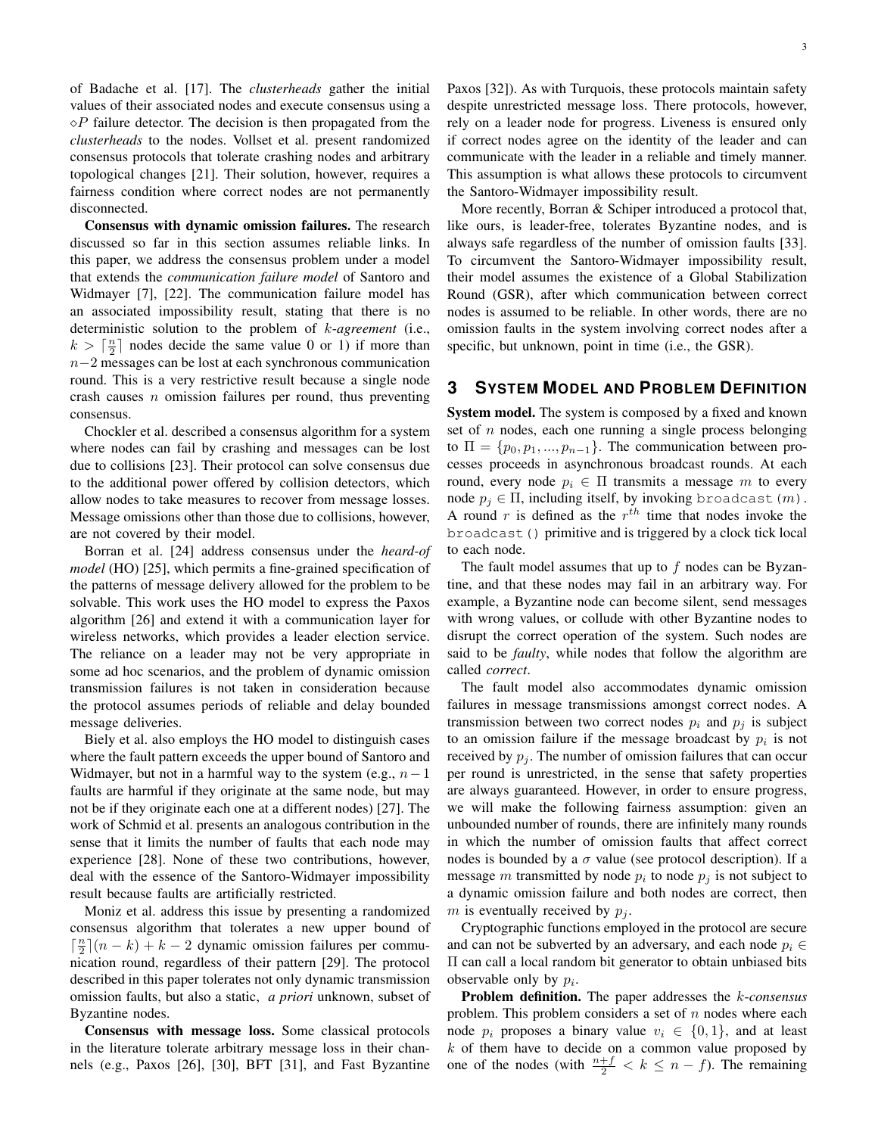of Badache et al. [17]. The *clusterheads* gather the initial values of their associated nodes and execute consensus using a  $\Diamond P$  failure detector. The decision is then propagated from the *clusterheads* to the nodes. Vollset et al. present randomized consensus protocols that tolerate crashing nodes and arbitrary topological changes [21]. Their solution, however, requires a fairness condition where correct nodes are not permanently disconnected.

Consensus with dynamic omission failures. The research discussed so far in this section assumes reliable links. In this paper, we address the consensus problem under a model that extends the *communication failure model* of Santoro and Widmayer [7], [22]. The communication failure model has an associated impossibility result, stating that there is no deterministic solution to the problem of k-*agreement* (i.e.,  $k > \lceil \frac{n}{2} \rceil$  nodes decide the same value 0 or 1) if more than n−2 messages can be lost at each synchronous communication round. This is a very restrictive result because a single node crash causes  $n$  omission failures per round, thus preventing consensus.

Chockler et al. described a consensus algorithm for a system where nodes can fail by crashing and messages can be lost due to collisions [23]. Their protocol can solve consensus due to the additional power offered by collision detectors, which allow nodes to take measures to recover from message losses. Message omissions other than those due to collisions, however, are not covered by their model.

Borran et al. [24] address consensus under the *heard-of model* (HO) [25], which permits a fine-grained specification of the patterns of message delivery allowed for the problem to be solvable. This work uses the HO model to express the Paxos algorithm [26] and extend it with a communication layer for wireless networks, which provides a leader election service. The reliance on a leader may not be very appropriate in some ad hoc scenarios, and the problem of dynamic omission transmission failures is not taken in consideration because the protocol assumes periods of reliable and delay bounded message deliveries.

Biely et al. also employs the HO model to distinguish cases where the fault pattern exceeds the upper bound of Santoro and Widmayer, but not in a harmful way to the system (e.g.,  $n-1$ ) faults are harmful if they originate at the same node, but may not be if they originate each one at a different nodes) [27]. The work of Schmid et al. presents an analogous contribution in the sense that it limits the number of faults that each node may experience [28]. None of these two contributions, however, deal with the essence of the Santoro-Widmayer impossibility result because faults are artificially restricted.

Moniz et al. address this issue by presenting a randomized consensus algorithm that tolerates a new upper bound of  $\lceil \frac{n}{2} \rceil (n - k) + k - 2$  dynamic omission failures per communication round, regardless of their pattern [29]. The protocol described in this paper tolerates not only dynamic transmission omission faults, but also a static, *a priori* unknown, subset of Byzantine nodes.

Consensus with message loss. Some classical protocols in the literature tolerate arbitrary message loss in their channels (e.g., Paxos [26], [30], BFT [31], and Fast Byzantine Paxos [32]). As with Turquois, these protocols maintain safety despite unrestricted message loss. There protocols, however, rely on a leader node for progress. Liveness is ensured only if correct nodes agree on the identity of the leader and can communicate with the leader in a reliable and timely manner. This assumption is what allows these protocols to circumvent the Santoro-Widmayer impossibility result.

More recently, Borran & Schiper introduced a protocol that, like ours, is leader-free, tolerates Byzantine nodes, and is always safe regardless of the number of omission faults [33]. To circumvent the Santoro-Widmayer impossibility result, their model assumes the existence of a Global Stabilization Round (GSR), after which communication between correct nodes is assumed to be reliable. In other words, there are no omission faults in the system involving correct nodes after a specific, but unknown, point in time (i.e., the GSR).

## **3 SYSTEM MODEL AND PROBLEM DEFINITION**

System model. The system is composed by a fixed and known set of  $n$  nodes, each one running a single process belonging to  $\Pi = \{p_0, p_1, ..., p_{n-1}\}.$  The communication between processes proceeds in asynchronous broadcast rounds. At each round, every node  $p_i \in \Pi$  transmits a message m to every node  $p_i \in \Pi$ , including itself, by invoking broadcast (m). A round r is defined as the  $r^{th}$  time that nodes invoke the broadcast() primitive and is triggered by a clock tick local to each node.

The fault model assumes that up to  $f$  nodes can be Byzantine, and that these nodes may fail in an arbitrary way. For example, a Byzantine node can become silent, send messages with wrong values, or collude with other Byzantine nodes to disrupt the correct operation of the system. Such nodes are said to be *faulty*, while nodes that follow the algorithm are called *correct*.

The fault model also accommodates dynamic omission failures in message transmissions amongst correct nodes. A transmission between two correct nodes  $p_i$  and  $p_j$  is subject to an omission failure if the message broadcast by  $p_i$  is not received by  $p_j$ . The number of omission failures that can occur per round is unrestricted, in the sense that safety properties are always guaranteed. However, in order to ensure progress, we will make the following fairness assumption: given an unbounded number of rounds, there are infinitely many rounds in which the number of omission faults that affect correct nodes is bounded by a  $\sigma$  value (see protocol description). If a message m transmitted by node  $p_i$  to node  $p_j$  is not subject to a dynamic omission failure and both nodes are correct, then m is eventually received by  $p_i$ .

Cryptographic functions employed in the protocol are secure and can not be subverted by an adversary, and each node  $p_i \in$ Π can call a local random bit generator to obtain unbiased bits observable only by  $p_i$ .

Problem definition. The paper addresses the k-*consensus* problem. This problem considers a set of  $n$  nodes where each node  $p_i$  proposes a binary value  $v_i \in \{0, 1\}$ , and at least  $k$  of them have to decide on a common value proposed by one of the nodes (with  $\frac{n+f}{2} < k \leq n-f$ ). The remaining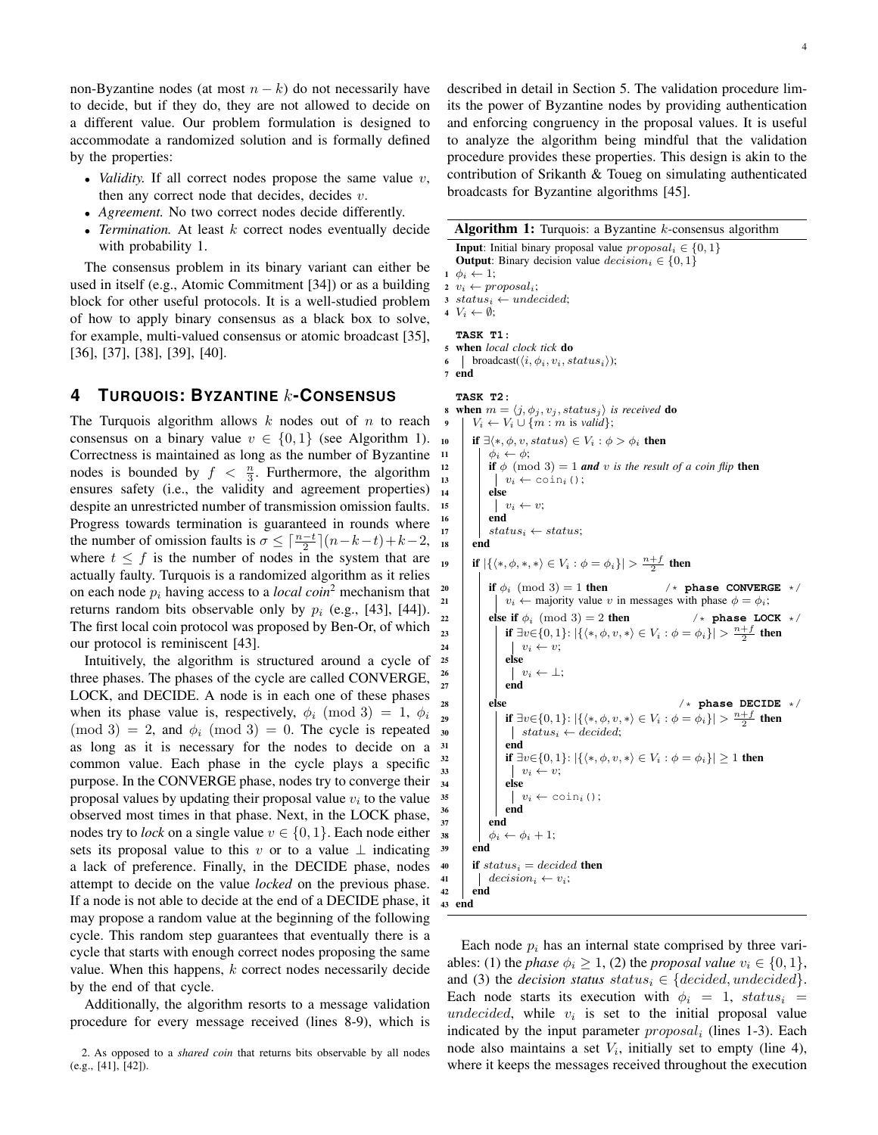non-Byzantine nodes (at most  $n - k$ ) do not necessarily have to decide, but if they do, they are not allowed to decide on a different value. Our problem formulation is designed to accommodate a randomized solution and is formally defined by the properties:

- *Validity*. If all correct nodes propose the same value  $v$ , then any correct node that decides, decides  $v$ .
- *Agreement.* No two correct nodes decide differently.
- *Termination*. At least *k* correct nodes eventually decide with probability 1.

The consensus problem in its binary variant can either be used in itself (e.g., Atomic Commitment [34]) or as a building block for other useful protocols. It is a well-studied problem of how to apply binary consensus as a black box to solve, for example, multi-valued consensus or atomic broadcast [35], [36], [37], [38], [39], [40].

## **4 TURQUOIS: BYZANTINE** k**-CONSENSUS**

The Turquois algorithm allows  $k$  nodes out of  $n$  to reach consensus on a binary value  $v \in \{0,1\}$  (see Algorithm 1). Correctness is maintained as long as the number of Byzantine nodes is bounded by  $f < \frac{n}{3}$ . Furthermore, the algorithm ensures safety (i.e., the validity and agreement properties) despite an unrestricted number of transmission omission faults. Progress towards termination is guaranteed in rounds where the number of omission faults is  $\sigma \leq \lceil \frac{n-t}{2} \rceil (n-k-t)+k-2$ , where  $t \leq f$  is the number of nodes in the system that are actually faulty. Turquois is a randomized algorithm as it relies on each node  $p_i$  having access to a *local coin*<sup>2</sup> mechanism that returns random bits observable only by  $p_i$  (e.g., [43], [44]). The first local coin protocol was proposed by Ben-Or, of which our protocol is reminiscent [43].

Intuitively, the algorithm is structured around a cycle of three phases. The phases of the cycle are called CONVERGE, LOCK, and DECIDE. A node is in each one of these phases when its phase value is, respectively,  $\phi_i$  (mod 3) = 1,  $\phi_i$  $\pmod{3} = 2$ , and  $\phi_i \pmod{3} = 0$ . The cycle is repeated as long as it is necessary for the nodes to decide on a common value. Each phase in the cycle plays a specific purpose. In the CONVERGE phase, nodes try to converge their proposal values by updating their proposal value  $v_i$  to the value observed most times in that phase. Next, in the LOCK phase, nodes try to *lock* on a single value  $v \in \{0, 1\}$ . Each node either sets its proposal value to this v or to a value  $\perp$  indicating a lack of preference. Finally, in the DECIDE phase, nodes attempt to decide on the value *locked* on the previous phase. If a node is not able to decide at the end of a DECIDE phase, it may propose a random value at the beginning of the following cycle. This random step guarantees that eventually there is a cycle that starts with enough correct nodes proposing the same value. When this happens,  $k$  correct nodes necessarily decide by the end of that cycle.

Additionally, the algorithm resorts to a message validation procedure for every message received (lines 8-9), which is described in detail in Section 5. The validation procedure limits the power of Byzantine nodes by providing authentication and enforcing congruency in the proposal values. It is useful to analyze the algorithm being mindful that the validation procedure provides these properties. This design is akin to the contribution of Srikanth & Toueg on simulating authenticated broadcasts for Byzantine algorithms [45].

| <b>Algorithm 1:</b> Turquois: a Byzantine $k$ -consensus algorithm |  |  |  |  |  |  |
|--------------------------------------------------------------------|--|--|--|--|--|--|
|--------------------------------------------------------------------|--|--|--|--|--|--|

```
Input: Initial binary proposal value proposal_i \in \{0, 1\}Output: Binary decision value decision_i \in \{0, 1\}1 \phi_i \leftarrow 1;2 v_i \leftarrow proposal_i;3 status<sub>i</sub> \leftarrow undecided;
 4 V_i \leftarrow \emptyset;TASK T1:
 5 when local clock tick do
 6 | broadcast(\langle i, \phi_i, v_i, status_i \rangle);7 end
    TASK T2:
 8 when m = \langle j, \phi_j, v_j , status_j \rangle is received do<br>9 | V_i \leftarrow V_i \cup \{m : m \text{ is valid}\}.V_i \leftarrow V_i \cup \{m : m \text{ is valid}\};10 if \exists \langle \ast, \phi, v, status \rangle \in V_i : \phi > \phi_i then
11 \phi_i \leftarrow \phi;
12 if \phi (mod 3) = 1 and v is the result of a coin flip then
13 \begin{array}{|c|c|c|c|c|}\n\hline\n & v_i \leftarrow \text{coin}_i(\cdot); \\
\hline\n\text{else}\n\end{array}\begin{array}{c|c} 14 \\ 15 \end{array} | else
              |v_i \leftarrow v;end
17 status<sub>i</sub> ← status;<br>18 end
         end
19 if |\{ \langle *, \phi, *, * \rangle \in V_i : \phi = \phi_i \}| > \frac{n+f}{2} then
20 i if \phi_i \pmod{3} = 1 then \forall * phase CONVERGE */21 | | v_i \leftarrow majority value v in messages with phase \phi = \phi_i;
22 else if \phi_i \pmod{3} = 2 then \phi_i \pmod{3} = 2 then \phi_i \neq \phi_i23 i if \exists v \in \{0, 1\} : |\{\langle *, \phi, v, * \rangle \in V_i : \phi = \phi_i\}| > \frac{n+f}{2} then
24 | | | v_i \leftarrow v;25 \vert \vert \vert else
                    v_i \leftarrow \perp;end
28 \parallel else \parallel \star phase DECIDE \star /
29 if \exists v \in \{0, 1\} : |\{\langle *, \phi, v, * \rangle \in V_i : \phi = \phi_i\}| > \frac{n+f}{2} then
30 | | status<sub>i</sub> ← decided;
31 \mid \cdot \cdot \cdot end
32 i if \exists v \in \{0, 1\}: |\{\langle *, \phi, v, * \rangle \in V_i : \phi = \phi_i\}| \ge 1 then
33 | | | v_i \leftarrow v;34 \parallel \parallel else
35 | \cdot | \cdot | v_i \leftarrow \text{coin}_i ();
                  end
37 end
38 \theta_i \leftarrow \phi_i + 1;<br>39 end
         end
         if status_i = decided then
41 | decision_i \leftarrow v_i;
42 end
43 end
```
Each node  $p_i$  has an internal state comprised by three variables: (1) the *phase*  $\phi_i \geq 1$ , (2) the *proposal value*  $v_i \in \{0, 1\}$ , and (3) the *decision status* status<sub>i</sub>  $\in$  {*decided, undecided*}. Each node starts its execution with  $\phi_i = 1$ ,  $status_i$ undecided, while  $v_i$  is set to the initial proposal value indicated by the input parameter  $proposal_i$  (lines 1-3). Each node also maintains a set  $V_i$ , initially set to empty (line 4), where it keeps the messages received throughout the execution

<sup>2.</sup> As opposed to a *shared coin* that returns bits observable by all nodes (e.g., [41], [42]).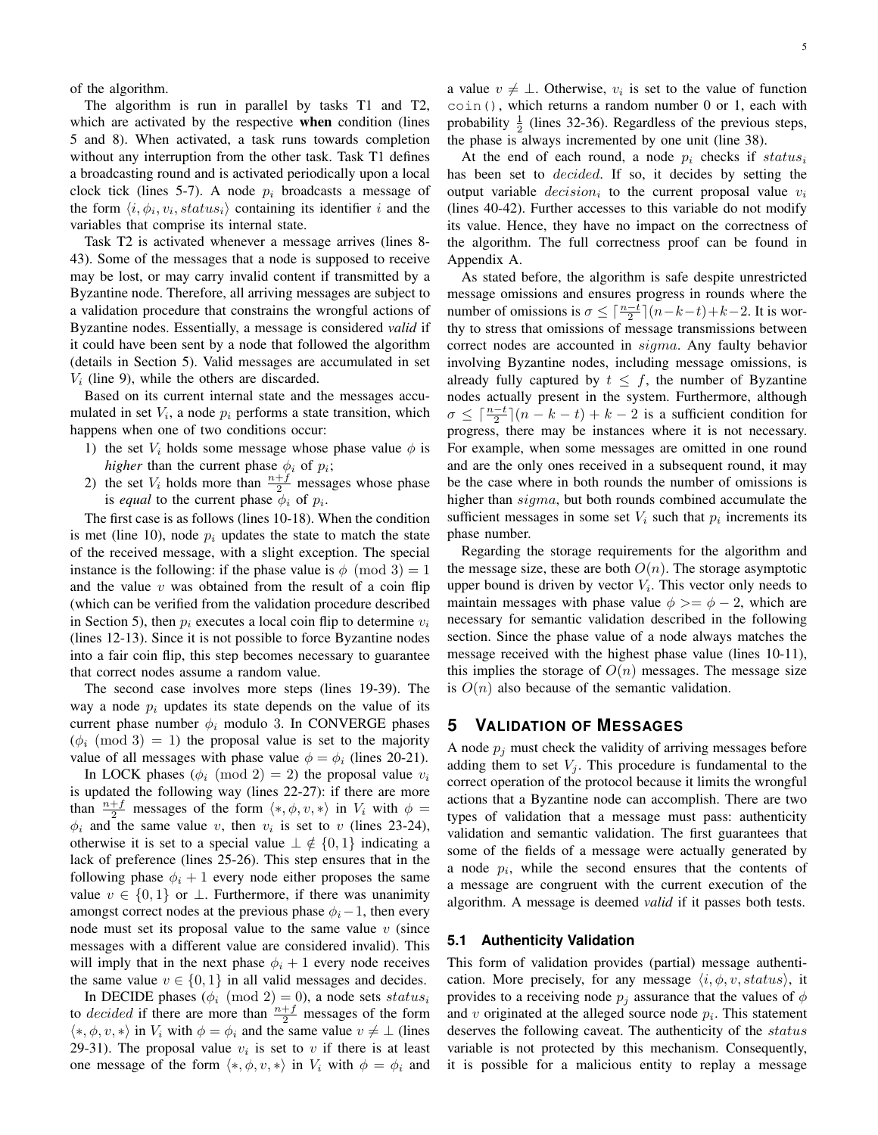of the algorithm.

The algorithm is run in parallel by tasks T1 and T2, which are activated by the respective when condition (lines 5 and 8). When activated, a task runs towards completion without any interruption from the other task. Task T1 defines a broadcasting round and is activated periodically upon a local clock tick (lines 5-7). A node  $p_i$  broadcasts a message of the form  $\langle i, \phi_i, v_i, status_i \rangle$  containing its identifier i and the variables that comprise its internal state.

Task T2 is activated whenever a message arrives (lines 8- 43). Some of the messages that a node is supposed to receive may be lost, or may carry invalid content if transmitted by a Byzantine node. Therefore, all arriving messages are subject to a validation procedure that constrains the wrongful actions of Byzantine nodes. Essentially, a message is considered *valid* if it could have been sent by a node that followed the algorithm (details in Section 5). Valid messages are accumulated in set  $V_i$  (line 9), while the others are discarded.

Based on its current internal state and the messages accumulated in set  $V_i$ , a node  $p_i$  performs a state transition, which happens when one of two conditions occur:

- 1) the set  $V_i$  holds some message whose phase value  $\phi$  is *higher* than the current phase  $\phi_i$  of  $p_i$ ;
- 2) the set  $V_i$  holds more than  $\frac{n+f}{2}$  messages whose phase is *equal* to the current phase  $\phi_i$  of  $p_i$ .

The first case is as follows (lines 10-18). When the condition is met (line 10), node  $p_i$  updates the state to match the state of the received message, with a slight exception. The special instance is the following: if the phase value is  $\phi$  (mod 3) = 1 and the value  $v$  was obtained from the result of a coin flip (which can be verified from the validation procedure described in Section 5), then  $p_i$  executes a local coin flip to determine  $v_i$ (lines 12-13). Since it is not possible to force Byzantine nodes into a fair coin flip, this step becomes necessary to guarantee that correct nodes assume a random value.

The second case involves more steps (lines 19-39). The way a node  $p_i$  updates its state depends on the value of its current phase number  $\phi_i$  modulo 3. In CONVERGE phases  $(\phi_i \pmod{3} = 1)$  the proposal value is set to the majority value of all messages with phase value  $\phi = \phi_i$  (lines 20-21).

In LOCK phases ( $\phi_i \pmod{2} = 2$ ) the proposal value  $v_i$ is updated the following way (lines 22-27): if there are more than  $\frac{n+f}{2}$  messages of the form  $\langle *, \phi, v, * \rangle$  in  $V_i$  with  $\phi =$  $\phi_i$  and the same value v, then  $v_i$  is set to v (lines 23-24), otherwise it is set to a special value  $\perp \notin \{0, 1\}$  indicating a lack of preference (lines 25-26). This step ensures that in the following phase  $\phi_i + 1$  every node either proposes the same value  $v \in \{0, 1\}$  or  $\perp$ . Furthermore, if there was unanimity amongst correct nodes at the previous phase  $\phi_i-1$ , then every node must set its proposal value to the same value  $v$  (since messages with a different value are considered invalid). This will imply that in the next phase  $\phi_i + 1$  every node receives the same value  $v \in \{0, 1\}$  in all valid messages and decides.

In DECIDE phases ( $\phi_i \pmod{2} = 0$ ), a node sets status<sub>i</sub> to *decided* if there are more than  $\frac{n+f}{2}$  messages of the form  $\langle *, \phi, v, * \rangle$  in  $V_i$  with  $\phi = \phi_i$  and the same value  $v \neq \bot$  (lines 29-31). The proposal value  $v_i$  is set to v if there is at least one message of the form  $\langle *, \phi, v, * \rangle$  in  $V_i$  with  $\phi = \phi_i$  and

a value  $v \neq \perp$ . Otherwise,  $v_i$  is set to the value of function coin(), which returns a random number 0 or 1, each with probability  $\frac{1}{2}$  (lines 32-36). Regardless of the previous steps, the phase is always incremented by one unit (line 38).

At the end of each round, a node  $p_i$  checks if  $status_i$ has been set to *decided*. If so, it decides by setting the output variable  $decision_i$  to the current proposal value  $v_i$ (lines 40-42). Further accesses to this variable do not modify its value. Hence, they have no impact on the correctness of the algorithm. The full correctness proof can be found in Appendix A.

As stated before, the algorithm is safe despite unrestricted message omissions and ensures progress in rounds where the number of omissions is  $\sigma \leq \lceil \frac{n-t}{2} \rceil (n-k-t)+k-2$ . It is worthy to stress that omissions of message transmissions between correct nodes are accounted in sigma. Any faulty behavior involving Byzantine nodes, including message omissions, is already fully captured by  $t \leq f$ , the number of Byzantine nodes actually present in the system. Furthermore, although  $\sigma \leq \lceil \frac{n-t}{2} \rceil (n-k-t) + k - 2$  is a sufficient condition for progress, there may be instances where it is not necessary. For example, when some messages are omitted in one round and are the only ones received in a subsequent round, it may be the case where in both rounds the number of omissions is higher than  $sigma$ , but both rounds combined accumulate the sufficient messages in some set  $V_i$  such that  $p_i$  increments its phase number.

Regarding the storage requirements for the algorithm and the message size, these are both  $O(n)$ . The storage asymptotic upper bound is driven by vector  $V_i$ . This vector only needs to maintain messages with phase value  $\phi \geq -\phi - 2$ , which are necessary for semantic validation described in the following section. Since the phase value of a node always matches the message received with the highest phase value (lines 10-11), this implies the storage of  $O(n)$  messages. The message size is  $O(n)$  also because of the semantic validation.

## **5 VALIDATION OF MESSAGES**

A node  $p_j$  must check the validity of arriving messages before adding them to set  $V_i$ . This procedure is fundamental to the correct operation of the protocol because it limits the wrongful actions that a Byzantine node can accomplish. There are two types of validation that a message must pass: authenticity validation and semantic validation. The first guarantees that some of the fields of a message were actually generated by a node  $p_i$ , while the second ensures that the contents of a message are congruent with the current execution of the algorithm. A message is deemed *valid* if it passes both tests.

#### **5.1 Authenticity Validation**

This form of validation provides (partial) message authentication. More precisely, for any message  $\langle i, \phi, v, status \rangle$ , it provides to a receiving node  $p_i$  assurance that the values of  $\phi$ and  $v$  originated at the alleged source node  $p_i$ . This statement deserves the following caveat. The authenticity of the *status* variable is not protected by this mechanism. Consequently, it is possible for a malicious entity to replay a message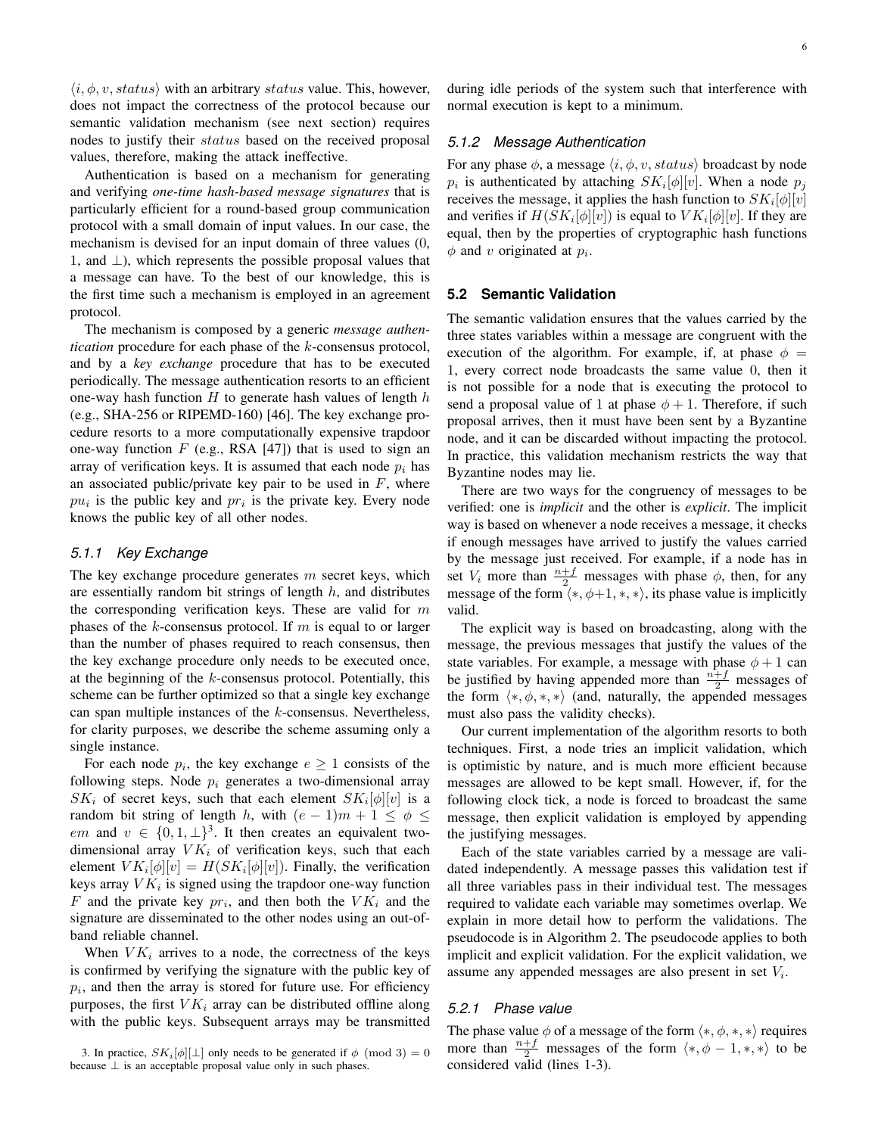$\langle i, \phi, v, status \rangle$  with an arbitrary status value. This, however, does not impact the correctness of the protocol because our semantic validation mechanism (see next section) requires nodes to justify their status based on the received proposal values, therefore, making the attack ineffective.

Authentication is based on a mechanism for generating and verifying *one-time hash-based message signatures* that is particularly efficient for a round-based group communication protocol with a small domain of input values. In our case, the mechanism is devised for an input domain of three values (0, 1, and  $\perp$ ), which represents the possible proposal values that a message can have. To the best of our knowledge, this is the first time such a mechanism is employed in an agreement protocol.

The mechanism is composed by a generic *message authentication* procedure for each phase of the k-consensus protocol, and by a *key exchange* procedure that has to be executed periodically. The message authentication resorts to an efficient one-way hash function  $H$  to generate hash values of length  $h$ (e.g., SHA-256 or RIPEMD-160) [46]. The key exchange procedure resorts to a more computationally expensive trapdoor one-way function  $F$  (e.g., RSA [47]) that is used to sign an array of verification keys. It is assumed that each node  $p_i$  has an associated public/private key pair to be used in  $F$ , where  $pu_i$  is the public key and  $pr_i$  is the private key. Every node knows the public key of all other nodes.

#### *5.1.1 Key Exchange*

The key exchange procedure generates  $m$  secret keys, which are essentially random bit strings of length  $h$ , and distributes the corresponding verification keys. These are valid for  $m$ phases of the k-consensus protocol. If  $m$  is equal to or larger than the number of phases required to reach consensus, then the key exchange procedure only needs to be executed once, at the beginning of the  $k$ -consensus protocol. Potentially, this scheme can be further optimized so that a single key exchange can span multiple instances of the k-consensus. Nevertheless, for clarity purposes, we describe the scheme assuming only a single instance.

For each node  $p_i$ , the key exchange  $e \geq 1$  consists of the following steps. Node  $p_i$  generates a two-dimensional array  $SK_i$  of secret keys, such that each element  $SK_i[\phi][v]$  is a random bit string of length h, with  $(e - 1)m + 1 \le \phi \le$ em and  $v \in \{0, 1, \perp\}^3$ . It then creates an equivalent twodimensional array  $VK_i$  of verification keys, such that each element  $VK_i[\phi][v] = H(SK_i[\phi][v])$ . Finally, the verification keys array  $VK_i$  is signed using the trapdoor one-way function F and the private key  $pr_i$ , and then both the  $VK_i$  and the signature are disseminated to the other nodes using an out-ofband reliable channel.

When  $VK_i$  arrives to a node, the correctness of the keys is confirmed by verifying the signature with the public key of  $p_i$ , and then the array is stored for future use. For efficiency purposes, the first  $VK_i$  array can be distributed offline along with the public keys. Subsequent arrays may be transmitted during idle periods of the system such that interference with normal execution is kept to a minimum.

#### *5.1.2 Message Authentication*

For any phase  $\phi$ , a message  $\langle i, \phi, v, status \rangle$  broadcast by node  $p_i$  is authenticated by attaching  $SK_i[\phi][v]$ . When a node  $p_j$ receives the message, it applies the hash function to  $SK_i[\phi][v]$ and verifies if  $H(SK_i[\phi][v])$  is equal to  $VK_i[\phi][v]$ . If they are equal, then by the properties of cryptographic hash functions  $\phi$  and v originated at  $p_i$ .

#### **5.2 Semantic Validation**

The semantic validation ensures that the values carried by the three states variables within a message are congruent with the execution of the algorithm. For example, if, at phase  $\phi =$ 1, every correct node broadcasts the same value 0, then it is not possible for a node that is executing the protocol to send a proposal value of 1 at phase  $\phi + 1$ . Therefore, if such proposal arrives, then it must have been sent by a Byzantine node, and it can be discarded without impacting the protocol. In practice, this validation mechanism restricts the way that Byzantine nodes may lie.

There are two ways for the congruency of messages to be verified: one is *implicit* and the other is *explicit*. The implicit way is based on whenever a node receives a message, it checks if enough messages have arrived to justify the values carried by the message just received. For example, if a node has in set  $V_i$  more than  $\frac{n+f}{2}$  messages with phase  $\phi$ , then, for any message of the form  $\langle *, \phi+1, *, * \rangle$ , its phase value is implicitly valid.

The explicit way is based on broadcasting, along with the message, the previous messages that justify the values of the state variables. For example, a message with phase  $\phi + 1$  can be justified by having appended more than  $\frac{n+f}{2}$  messages of the form  $\langle *, \phi, *, * \rangle$  (and, naturally, the appended messages must also pass the validity checks).

Our current implementation of the algorithm resorts to both techniques. First, a node tries an implicit validation, which is optimistic by nature, and is much more efficient because messages are allowed to be kept small. However, if, for the following clock tick, a node is forced to broadcast the same message, then explicit validation is employed by appending the justifying messages.

Each of the state variables carried by a message are validated independently. A message passes this validation test if all three variables pass in their individual test. The messages required to validate each variable may sometimes overlap. We explain in more detail how to perform the validations. The pseudocode is in Algorithm 2. The pseudocode applies to both implicit and explicit validation. For the explicit validation, we assume any appended messages are also present in set  $V_i$ .

#### *5.2.1 Phase value*

The phase value  $\phi$  of a message of the form  $\langle *, \phi, *, * \rangle$  requires more than  $\frac{n+f}{2}$  messages of the form  $\langle *, \phi - 1, *, * \rangle$  to be considered valid (lines 1-3).

<sup>3.</sup> In practice,  $SK_i[\phi][\perp]$  only needs to be generated if  $\phi$  (mod 3) = 0 because  $\perp$  is an acceptable proposal value only in such phases.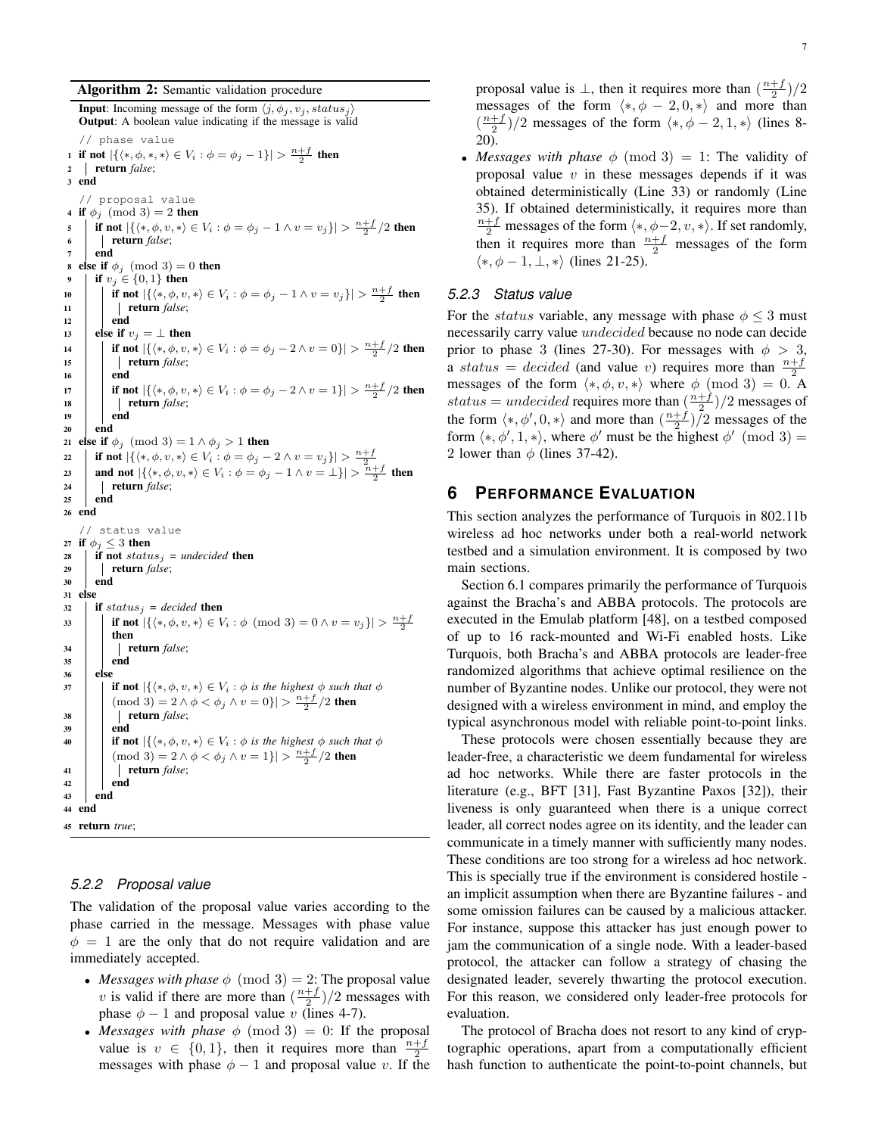#### Algorithm 2: Semantic validation procedure

```
Input: Incoming message of the form \langle j, \phi_j, v_j, status_j \rangleOutput: A boolean value indicating if the message is valid
    // phase value
 1 if not |\{\langle *, \phi, *, * \rangle \in V_i : \phi = \phi_j - 1\}| > \frac{n+f}{2} then
 2 return false;
 3 end
     // proposal value
 4 if \phi_j \pmod{3} = 2 then
 5 if not |\{(*,\phi,v,*)\in V_i: \phi = \phi_j - 1 \land v = v_j\}| > \frac{n+f}{2}/2 then
 6 return false;
 7 end
 8 else if \phi_j \pmod{3} = 0 then
 9 | if v_j \in \{0, 1\} then
10 if not |\{(*,\phi,v,*)\in V_i : \phi = \phi_j - 1 \wedge v = v_j\}| > \frac{n+f}{2} then
11 return false;
12 end
13 else if v_i = \perp then
14 if not |\{\langle *, \phi, v, * \rangle \in V_i : \phi = \phi_j - 2 \land v = 0\}| > \frac{n+f}{2}/2 then
15 return false;
16 end
17 if not |\{\langle *, \phi, v, * \rangle \in V_i : \phi = \phi_j - 2 \land v = 1\}| > \frac{n+f}{2}/2 then
18 return false;
19 end
20 end
21 else if \phi_j \pmod{3} = 1 \wedge \phi_j > 1 then
22 if not |\{(*,\phi,v,*)\in V_i : \phi = \phi_j - 2 \wedge v = v_j\}| > \frac{n+f}{2}23 and not |\{\langle *, \phi, v, * \rangle \in V_i : \phi = \phi_j - 1 \land v = \bot\}| > \frac{n+f}{2} then
24 return false;
25 end
26 end
       status value
27 if \phi_i \leq 3 then
28 if not status<sub>i</sub> = undecided then
29 return false;
30 end
31 else
32 if status<sub>j</sub> = decided then
33 if not |\{(*,\phi,v,*)\in V_i : \phi \pmod{3} = 0 \land v = v_j\}| > \frac{n+f}{2}then
34 return false;
35 end
36 else
37 i if not \left|\left\{\left\langle \ast, \phi, v, \ast\right\rangle \in V_i : \phi \text{ is the highest } \phi \text{ such that } \phi\right\}\right|\pmod{3} = 2 \land \phi < \phi_j \land v = 0}| > \frac{n+f}{2}/2 then
38 return false;
39 | end
40 if not \left| \left\{ \langle *, \phi, v, * \rangle \in V_i : \phi \text{ is the highest } \phi \text{ such that } \phi \right\} \right|\pmod{3} = 2 \land \phi < \phi_j \land v = 1}| > \frac{n+f}{2}/2 then
41 return false;
42 end
43 end
44 end
45 return true;
```
#### *5.2.2 Proposal value*

The validation of the proposal value varies according to the phase carried in the message. Messages with phase value  $\phi = 1$  are the only that do not require validation and are immediately accepted.

- *Messages with phase*  $\phi$  (mod 3) = 2: The proposal value v is valid if there are more than  $\left(\frac{n+f}{2}\right)/2$  messages with phase  $\phi - 1$  and proposal value v (lines 4-7).
- *Messages with phase*  $\phi$  (mod 3) = 0: If the proposal value is  $v \in \{0, 1\}$ , then it requires more than  $\frac{n+f}{2}$ messages with phase  $\phi - 1$  and proposal value v. If the

proposal value is  $\perp$ , then it requires more than  $\left(\frac{n+f}{2}\right)/2$ messages of the form  $\langle *, \phi - 2, 0, * \rangle$  and more than  $\left(\frac{n+f}{2}\right)/2$  messages of the form  $\langle *, \phi - 2, 1, * \rangle$  (lines 8-20).

• *Messages with phase*  $\phi$  (mod 3) = 1: The validity of proposal value  $v$  in these messages depends if it was obtained deterministically (Line 33) or randomly (Line 35). If obtained deterministically, it requires more than  $\frac{n+f}{2}$  messages of the form  $\langle *, \phi - 2, v, * \rangle$ . If set randomly, then it requires more than  $\frac{n+f}{2}$  messages of the form  $\langle *, \phi - 1, \perp, * \rangle$  (lines 21-25).

#### *5.2.3 Status value*

For the *status* variable, any message with phase  $\phi \leq 3$  must necessarily carry value *undecided* because no node can decide prior to phase 3 (lines 27-30). For messages with  $\phi > 3$ , a status = decided (and value v) requires more than  $\frac{n+f}{2}$ messages of the form  $\langle *, \phi, v, * \rangle$  where  $\phi \pmod{3} = 0$ . A status = undecided requires more than  $\left(\frac{n+f}{2}\right)/2$  messages of the form  $\langle *, \phi', 0, * \rangle$  and more than  $\left(\frac{n+f}{2}\right)/2$  messages of the form  $\langle *, \phi', 1, * \rangle$ , where  $\phi'$  must be the highest  $\phi'$  (mod 3) = 2 lower than  $\phi$  (lines 37-42).

## **6 PERFORMANCE EVALUATION**

This section analyzes the performance of Turquois in 802.11b wireless ad hoc networks under both a real-world network testbed and a simulation environment. It is composed by two main sections.

Section 6.1 compares primarily the performance of Turquois against the Bracha's and ABBA protocols. The protocols are executed in the Emulab platform [48], on a testbed composed of up to 16 rack-mounted and Wi-Fi enabled hosts. Like Turquois, both Bracha's and ABBA protocols are leader-free randomized algorithms that achieve optimal resilience on the number of Byzantine nodes. Unlike our protocol, they were not designed with a wireless environment in mind, and employ the typical asynchronous model with reliable point-to-point links.

These protocols were chosen essentially because they are leader-free, a characteristic we deem fundamental for wireless ad hoc networks. While there are faster protocols in the literature (e.g., BFT [31], Fast Byzantine Paxos [32]), their liveness is only guaranteed when there is a unique correct leader, all correct nodes agree on its identity, and the leader can communicate in a timely manner with sufficiently many nodes. These conditions are too strong for a wireless ad hoc network. This is specially true if the environment is considered hostile an implicit assumption when there are Byzantine failures - and some omission failures can be caused by a malicious attacker. For instance, suppose this attacker has just enough power to jam the communication of a single node. With a leader-based protocol, the attacker can follow a strategy of chasing the designated leader, severely thwarting the protocol execution. For this reason, we considered only leader-free protocols for evaluation.

The protocol of Bracha does not resort to any kind of cryptographic operations, apart from a computationally efficient hash function to authenticate the point-to-point channels, but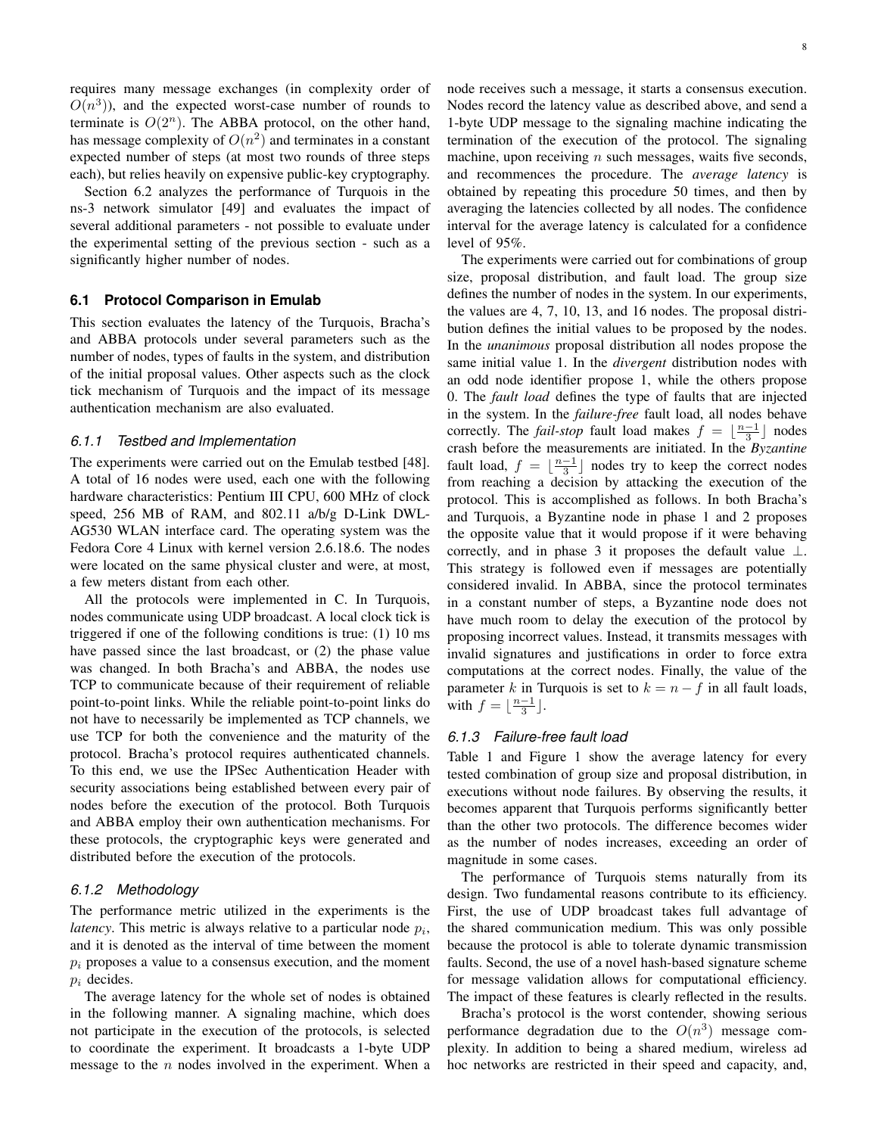requires many message exchanges (in complexity order of  $O(n^3)$ ), and the expected worst-case number of rounds to terminate is  $O(2^n)$ . The ABBA protocol, on the other hand, has message complexity of  $O(n^2)$  and terminates in a constant expected number of steps (at most two rounds of three steps each), but relies heavily on expensive public-key cryptography.

Section 6.2 analyzes the performance of Turquois in the ns-3 network simulator [49] and evaluates the impact of several additional parameters - not possible to evaluate under the experimental setting of the previous section - such as a significantly higher number of nodes.

#### **6.1 Protocol Comparison in Emulab**

This section evaluates the latency of the Turquois, Bracha's and ABBA protocols under several parameters such as the number of nodes, types of faults in the system, and distribution of the initial proposal values. Other aspects such as the clock tick mechanism of Turquois and the impact of its message authentication mechanism are also evaluated.

#### *6.1.1 Testbed and Implementation*

The experiments were carried out on the Emulab testbed [48]. A total of 16 nodes were used, each one with the following hardware characteristics: Pentium III CPU, 600 MHz of clock speed, 256 MB of RAM, and 802.11 a/b/g D-Link DWL-AG530 WLAN interface card. The operating system was the Fedora Core 4 Linux with kernel version 2.6.18.6. The nodes were located on the same physical cluster and were, at most, a few meters distant from each other.

All the protocols were implemented in C. In Turquois, nodes communicate using UDP broadcast. A local clock tick is triggered if one of the following conditions is true: (1) 10 ms have passed since the last broadcast, or (2) the phase value was changed. In both Bracha's and ABBA, the nodes use TCP to communicate because of their requirement of reliable point-to-point links. While the reliable point-to-point links do not have to necessarily be implemented as TCP channels, we use TCP for both the convenience and the maturity of the protocol. Bracha's protocol requires authenticated channels. To this end, we use the IPSec Authentication Header with security associations being established between every pair of nodes before the execution of the protocol. Both Turquois and ABBA employ their own authentication mechanisms. For these protocols, the cryptographic keys were generated and distributed before the execution of the protocols.

### *6.1.2 Methodology*

The performance metric utilized in the experiments is the *latency*. This metric is always relative to a particular node  $p_i$ , and it is denoted as the interval of time between the moment  $p_i$  proposes a value to a consensus execution, and the moment  $p_i$  decides.

The average latency for the whole set of nodes is obtained in the following manner. A signaling machine, which does not participate in the execution of the protocols, is selected to coordinate the experiment. It broadcasts a 1-byte UDP message to the  $n$  nodes involved in the experiment. When a node receives such a message, it starts a consensus execution. Nodes record the latency value as described above, and send a 1-byte UDP message to the signaling machine indicating the termination of the execution of the protocol. The signaling machine, upon receiving  $n$  such messages, waits five seconds, and recommences the procedure. The *average latency* is obtained by repeating this procedure 50 times, and then by averaging the latencies collected by all nodes. The confidence interval for the average latency is calculated for a confidence level of 95%.

The experiments were carried out for combinations of group size, proposal distribution, and fault load. The group size defines the number of nodes in the system. In our experiments, the values are 4, 7, 10, 13, and 16 nodes. The proposal distribution defines the initial values to be proposed by the nodes. In the *unanimous* proposal distribution all nodes propose the same initial value 1. In the *divergent* distribution nodes with an odd node identifier propose 1, while the others propose 0. The *fault load* defines the type of faults that are injected in the system. In the *failure-free* fault load, all nodes behave correctly. The *fail-stop* fault load makes  $f = \lfloor \frac{n-1}{3} \rfloor$  nodes crash before the measurements are initiated. In the *Byzantine* fault load,  $f = \lfloor \frac{n-1}{3} \rfloor$  nodes try to keep the correct nodes from reaching a decision by attacking the execution of the protocol. This is accomplished as follows. In both Bracha's and Turquois, a Byzantine node in phase 1 and 2 proposes the opposite value that it would propose if it were behaving correctly, and in phase 3 it proposes the default value  $\perp$ . This strategy is followed even if messages are potentially considered invalid. In ABBA, since the protocol terminates in a constant number of steps, a Byzantine node does not have much room to delay the execution of the protocol by proposing incorrect values. Instead, it transmits messages with invalid signatures and justifications in order to force extra computations at the correct nodes. Finally, the value of the parameter k in Turquois is set to  $k = n - f$  in all fault loads, with  $f = \lfloor \frac{n-1}{3} \rfloor$ .

#### *6.1.3 Failure-free fault load*

Table 1 and Figure 1 show the average latency for every tested combination of group size and proposal distribution, in executions without node failures. By observing the results, it becomes apparent that Turquois performs significantly better than the other two protocols. The difference becomes wider as the number of nodes increases, exceeding an order of magnitude in some cases.

The performance of Turquois stems naturally from its design. Two fundamental reasons contribute to its efficiency. First, the use of UDP broadcast takes full advantage of the shared communication medium. This was only possible because the protocol is able to tolerate dynamic transmission faults. Second, the use of a novel hash-based signature scheme for message validation allows for computational efficiency. The impact of these features is clearly reflected in the results.

Bracha's protocol is the worst contender, showing serious performance degradation due to the  $O(n^3)$  message complexity. In addition to being a shared medium, wireless ad hoc networks are restricted in their speed and capacity, and,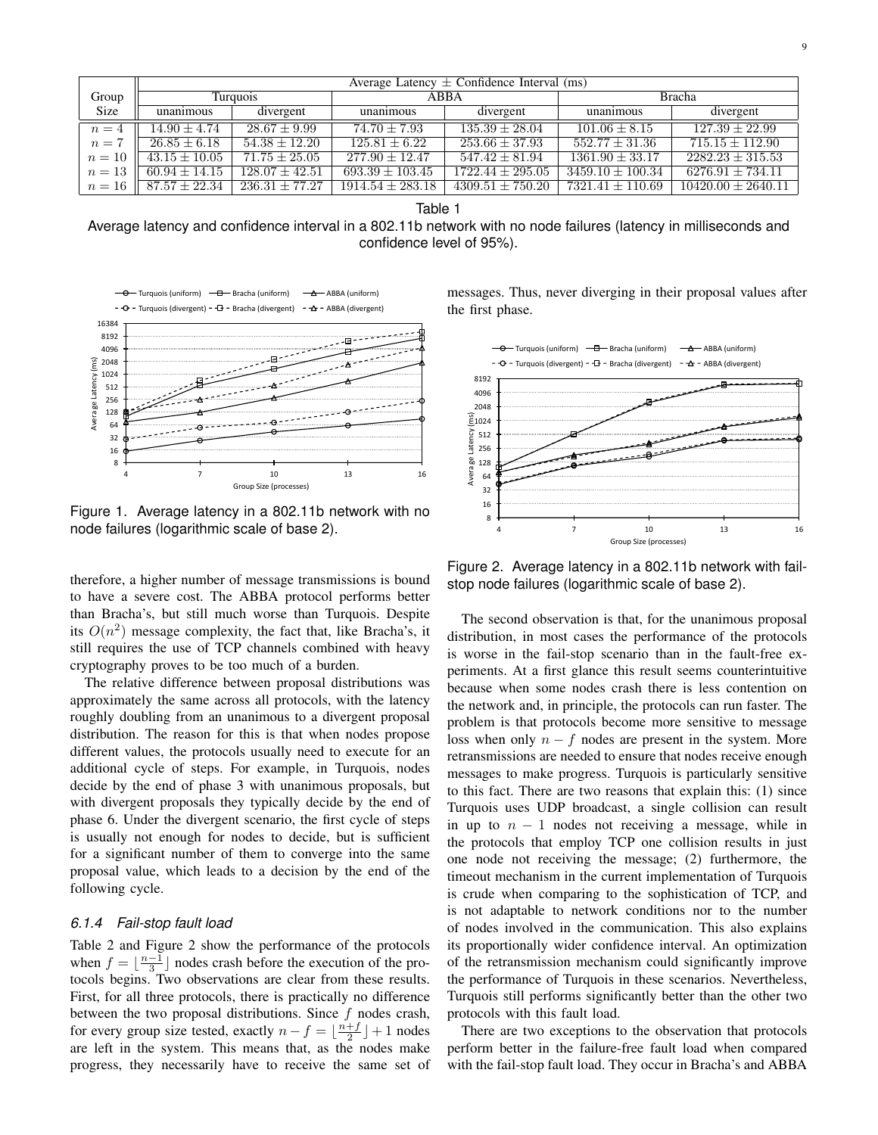|        | Average Latency $\pm$ Confidence Interval (ms) |                    |                      |                      |                      |                        |  |
|--------|------------------------------------------------|--------------------|----------------------|----------------------|----------------------|------------------------|--|
| Group  | <b>Turquois</b>                                |                    |                      | <b>ABBA</b>          | <b>Bracha</b>        |                        |  |
| Size   | unanimous                                      | divergent          | unanimous            | divergent            | unanimous            | divergent              |  |
| $n=4$  | $14.90 \pm 4.74$                               | $28.67 + 9.99$     | $74.70 + 7.93$       | $135.39 + 28.04$     | $101.06 \pm 8.15$    | $127.39 + 22.99$       |  |
| $n=7$  | $26.85 \pm 6.18$                               | $54.38 \pm 12.20$  | $125.81 + 6.22$      | $253.66 \pm 37.93$   | $552.77 \pm 31.36$   | $715.15 + 112.90$      |  |
| $n=10$ | $43.15 + 10.05$                                | $71.75 + 25.05$    | $277.90 + 12.47$     | $547.42 + 81.94$     | $1361.90 + 33.17$    | $2282.23 + 315.53$     |  |
| $n=13$ | $60.94 \pm 14.15$                              | $128.07 \pm 42.51$ | $693.39 \pm 103.45$  | $1722.44 \pm 295.05$ | $3459.10 \pm 100.34$ | $6276.91 \pm 734.11$   |  |
| $n=16$ | $87.57 \pm 22.34$                              | $236.31 \pm 77.27$ | $1914.54 \pm 283.18$ | $4309.51 \pm 750.20$ | $7321.41 + 110.69$   | $10420.00 \pm 2640.11$ |  |

Table 1

Average latency and confidence interval in a 802.11b network with no node failures (latency in milliseconds and confidence level of 95%).



Figure 1. Average latency in a 802.11b network with no node failures (logarithmic scale of base 2).

therefore, a higher number of message transmissions is bound to have a severe cost. The ABBA protocol performs better than Bracha's, but still much worse than Turquois. Despite its  $O(n^2)$  message complexity, the fact that, like Bracha's, it still requires the use of TCP channels combined with heavy cryptography proves to be too much of a burden.

The relative difference between proposal distributions was approximately the same across all protocols, with the latency roughly doubling from an unanimous to a divergent proposal distribution. The reason for this is that when nodes propose different values, the protocols usually need to execute for an additional cycle of steps. For example, in Turquois, nodes decide by the end of phase 3 with unanimous proposals, but with divergent proposals they typically decide by the end of phase 6. Under the divergent scenario, the first cycle of steps is usually not enough for nodes to decide, but is sufficient for a significant number of them to converge into the same proposal value, which leads to a decision by the end of the following cycle.

## *6.1.4 Fail-stop fault load*

Table 2 and Figure 2 show the performance of the protocols when  $f = \lfloor \frac{n-1}{3} \rfloor$  nodes crash before the execution of the protocols begins. Two observations are clear from these results. First, for all three protocols, there is practically no difference between the two proposal distributions. Since  $f$  nodes crash, for every group size tested, exactly  $n - f = \lfloor \frac{n+f}{2} \rfloor + 1$  nodes are left in the system. This means that, as the nodes make progress, they necessarily have to receive the same set of messages. Thus, never diverging in their proposal values after the first phase.



Figure 2. Average latency in a 802.11b network with failstop node failures (logarithmic scale of base 2).

The second observation is that, for the unanimous proposal distribution, in most cases the performance of the protocols is worse in the fail-stop scenario than in the fault-free experiments. At a first glance this result seems counterintuitive because when some nodes crash there is less contention on the network and, in principle, the protocols can run faster. The problem is that protocols become more sensitive to message loss when only  $n - f$  nodes are present in the system. More retransmissions are needed to ensure that nodes receive enough messages to make progress. Turquois is particularly sensitive to this fact. There are two reasons that explain this: (1) since Turquois uses UDP broadcast, a single collision can result in up to  $n - 1$  nodes not receiving a message, while in the protocols that employ TCP one collision results in just one node not receiving the message; (2) furthermore, the timeout mechanism in the current implementation of Turquois is crude when comparing to the sophistication of TCP, and is not adaptable to network conditions nor to the number of nodes involved in the communication. This also explains its proportionally wider confidence interval. An optimization of the retransmission mechanism could significantly improve the performance of Turquois in these scenarios. Nevertheless, Turquois still performs significantly better than the other two protocols with this fault load.

There are two exceptions to the observation that protocols perform better in the failure-free fault load when compared with the fail-stop fault load. They occur in Bracha's and ABBA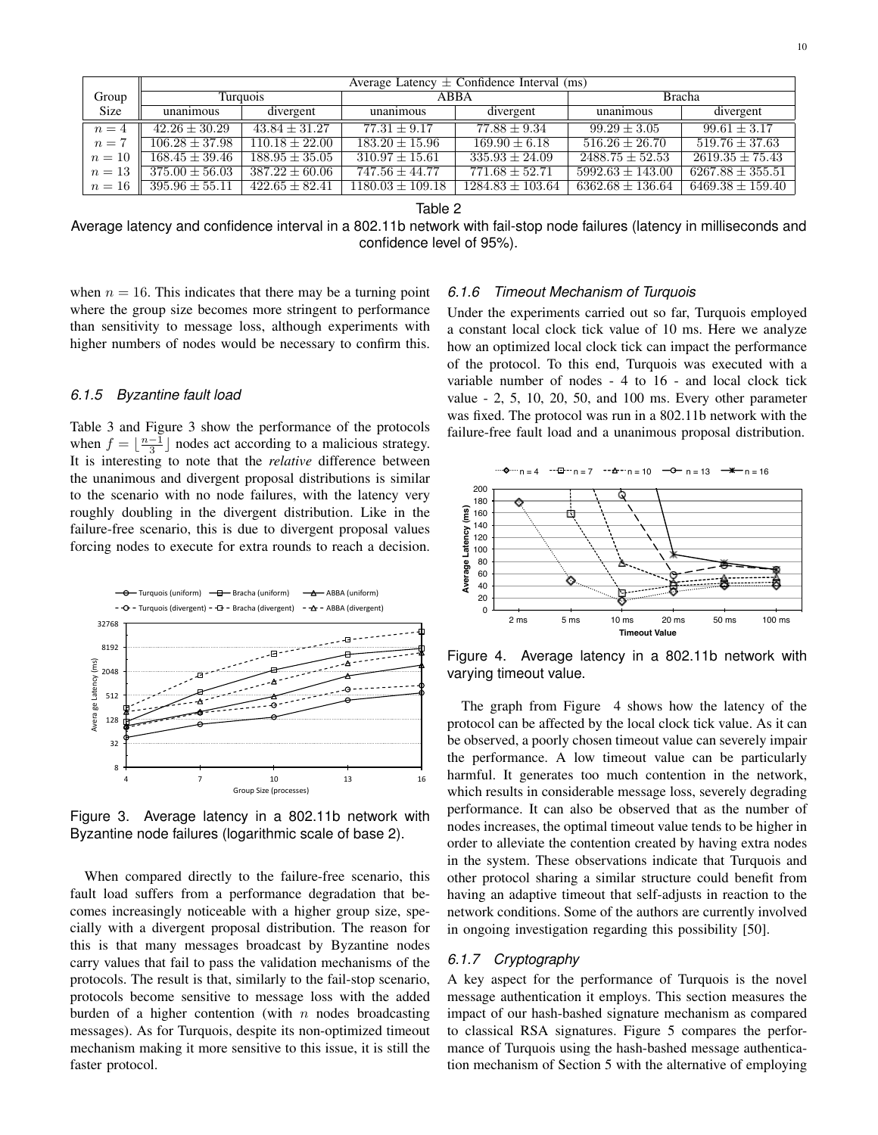|        | Average Latency $\pm$ Confidence Interval (ms) |                    |                               |                    |                      |                      |  |
|--------|------------------------------------------------|--------------------|-------------------------------|--------------------|----------------------|----------------------|--|
| Group  | Turquois                                       |                    |                               | ABBA               | <b>Bracha</b>        |                      |  |
| Size   | unanimous                                      | divergent          | unanimous                     | divergent          | unanimous            | divergent            |  |
| $n=4$  | $42.26 \pm 30.29$                              | $43.84 + 31.27$    | $77.31 + 9.17$                | $77.88 + 9.34$     | $99.29 \pm 3.05$     | $99.61 \pm 3.17$     |  |
| $n=7$  | $106.28 + 37.98$                               | $110.18 + 22.00$   | $183.20 + 15.96$              | $169.90 + 6.18$    | $516.26 \pm 26.70$   | $519.76 + 37.63$     |  |
| $n=10$ | $168.45 \pm 39.46$                             | $188.95 \pm 35.05$ | $\overline{310.97} \pm 15.61$ | $335.93 \pm 24.09$ | $2488.75 \pm 52.53$  | $2619.35 \pm 75.43$  |  |
| $n=13$ | $375.00 \pm 56.03$                             | $387.22 \pm 60.06$ | $747.56 + 44.77$              | $771.68 \pm 52.71$ | $5992.63 \pm 143.00$ | $6267.88 \pm 355.51$ |  |
| $n=16$ | $395.96 \pm 55.11$                             | $422.65 \pm 82.41$ | $180.03 + 109.18$             | $1284.83 + 103.64$ | $6362.68 \pm 136.64$ | $6469.38 \pm 159.40$ |  |

Table 2

Average latency and confidence interval in a 802.11b network with fail-stop node failures (latency in milliseconds and confidence level of 95%).

when  $n = 16$ . This indicates that there may be a turning point where the group size becomes more stringent to performance than sensitivity to message loss, although experiments with higher numbers of nodes would be necessary to confirm this.

#### *6.1.5 Byzantine fault load*

Table 3 and Figure 3 show the performance of the protocols when  $f = \lfloor \frac{n-1}{3} \rfloor$  nodes act according to a malicious strategy. It is interesting to note that the *relative* difference between the unanimous and divergent proposal distributions is similar to the scenario with no node failures, with the latency very roughly doubling in the divergent distribution. Like in the failure-free scenario, this is due to divergent proposal values forcing nodes to execute for extra rounds to reach a decision.



Figure 3. Average latency in a 802.11b network with Byzantine node failures (logarithmic scale of base 2).

When compared directly to the failure-free scenario, this fault load suffers from a performance degradation that becomes increasingly noticeable with a higher group size, specially with a divergent proposal distribution. The reason for this is that many messages broadcast by Byzantine nodes carry values that fail to pass the validation mechanisms of the protocols. The result is that, similarly to the fail-stop scenario, protocols become sensitive to message loss with the added burden of a higher contention (with  $n$  nodes broadcasting messages). As for Turquois, despite its non-optimized timeout mechanism making it more sensitive to this issue, it is still the faster protocol.

#### *6.1.6 Timeout Mechanism of Turquois*

Under the experiments carried out so far, Turquois employed a constant local clock tick value of 10 ms. Here we analyze how an optimized local clock tick can impact the performance of the protocol. To this end, Turquois was executed with a variable number of nodes - 4 to 16 - and local clock tick value - 2, 5, 10, 20, 50, and 100 ms. Every other parameter was fixed. The protocol was run in a 802.11b network with the failure-free fault load and a unanimous proposal distribution.



Figure 4. Average latency in a 802.11b network with varying timeout value.

The graph from Figure 4 shows how the latency of the protocol can be affected by the local clock tick value. As it can be observed, a poorly chosen timeout value can severely impair the performance. A low timeout value can be particularly harmful. It generates too much contention in the network, which results in considerable message loss, severely degrading performance. It can also be observed that as the number of nodes increases, the optimal timeout value tends to be higher in order to alleviate the contention created by having extra nodes in the system. These observations indicate that Turquois and other protocol sharing a similar structure could benefit from having an adaptive timeout that self-adjusts in reaction to the network conditions. Some of the authors are currently involved in ongoing investigation regarding this possibility [50].

### *6.1.7 Cryptography*

A key aspect for the performance of Turquois is the novel message authentication it employs. This section measures the impact of our hash-bashed signature mechanism as compared to classical RSA signatures. Figure 5 compares the performance of Turquois using the hash-bashed message authentication mechanism of Section 5 with the alternative of employing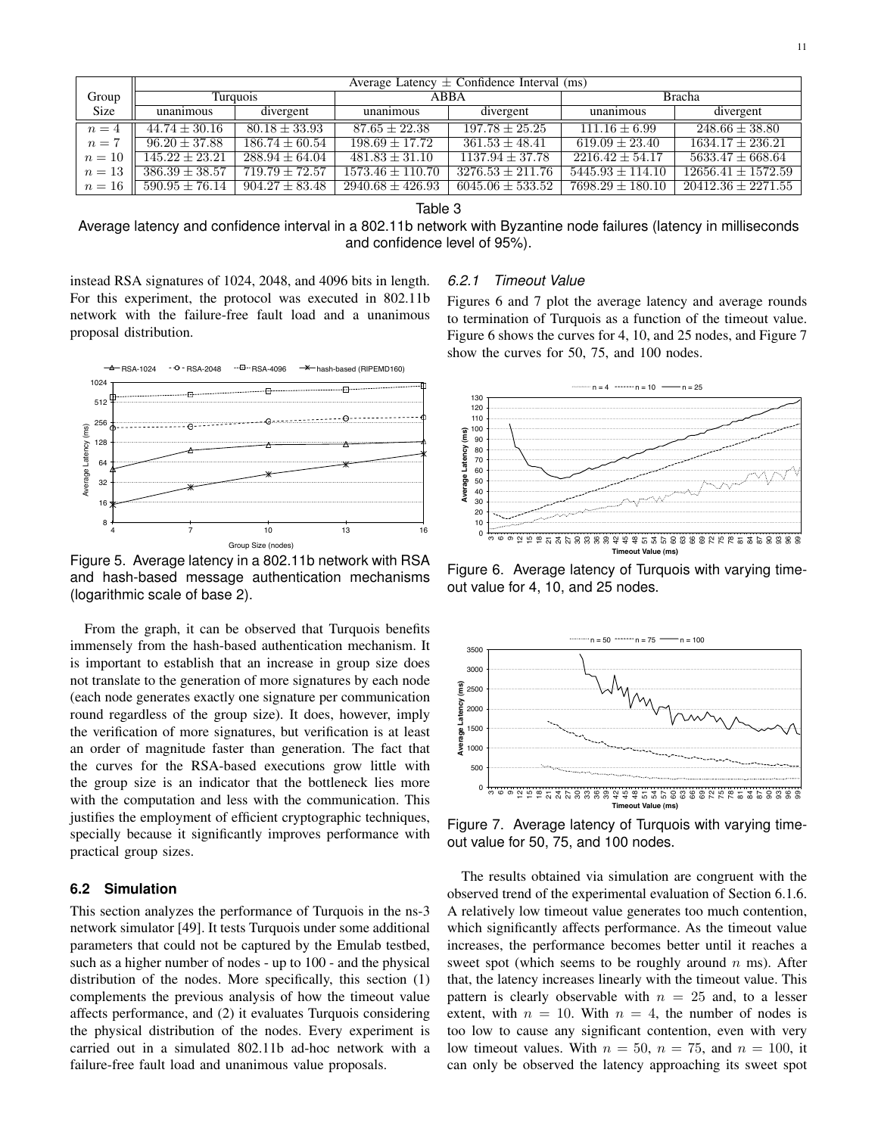|             | Average Latency $\pm$ Confidence Interval (ms) |                    |                      |                      |                      |                        |  |
|-------------|------------------------------------------------|--------------------|----------------------|----------------------|----------------------|------------------------|--|
| Group       | Turquois                                       |                    |                      | ABBA                 | <b>Bracha</b>        |                        |  |
| <b>Size</b> | unanimous                                      | divergent          | unanimous            | divergent            | unanimous            | divergent              |  |
| $n=4$       | $44.74 \pm 30.16$                              | $80.18 + 33.93$    | $87.65 + 22.38$      | $197.78 + 25.25$     | $111.16 + 6.99$      | $248.66 + 38.80$       |  |
| $n=7$       | $96.20 \pm 37.88$                              | $186.74 \pm 60.54$ | $198.69 + 17.72$     | $361.53 + 48.41$     | $619.09 + 23.40$     | $1634.17 + 236.21$     |  |
| $n=10$      | $145.22 + 23.21$                               | $288.94 + 64.04$   | $481.83 + 31.10$     | $1137.94 \pm 37.78$  | $2216.42 + 54.17$    | $5633.47 + 668.64$     |  |
| $n=13$      | $386.39 \pm 38.57$                             | $719.79 \pm 72.57$ | $1573.46 \pm 110.70$ | $3276.53 \pm 211.76$ | $5445.93 + 114.10$   | $12656.41 + 1572.59$   |  |
| $n=16$      | $590.95 \pm 76.14$                             | $904.27 \pm 83.48$ | $2940.68 \pm 426.93$ | $6045.06 \pm 533.52$ | $7698.29 \pm 180.10$ | $20412.36 \pm 2271.55$ |  |

Table 3

Average latency and confidence interval in a 802.11b network with Byzantine node failures (latency in milliseconds and confidence level of 95%).

instead RSA signatures of 1024, 2048, and 4096 bits in length. For this experiment, the protocol was executed in 802.11b network with the failure-free fault load and a unanimous proposal distribution.



Figure 5. Average latency in a 802.11b network with RSA and hash-based message authentication mechanisms (logarithmic scale of base 2).

From the graph, it can be observed that Turquois benefits immensely from the hash-based authentication mechanism. It is important to establish that an increase in group size does not translate to the generation of more signatures by each node (each node generates exactly one signature per communication round regardless of the group size). It does, however, imply the verification of more signatures, but verification is at least an order of magnitude faster than generation. The fact that the curves for the RSA-based executions grow little with the group size is an indicator that the bottleneck lies more with the computation and less with the communication. This justifies the employment of efficient cryptographic techniques, specially because it significantly improves performance with practical group sizes.

### **6.2 Simulation**

This section analyzes the performance of Turquois in the ns-3 network simulator [49]. It tests Turquois under some additional parameters that could not be captured by the Emulab testbed, such as a higher number of nodes - up to 100 - and the physical distribution of the nodes. More specifically, this section (1) complements the previous analysis of how the timeout value affects performance, and (2) it evaluates Turquois considering the physical distribution of the nodes. Every experiment is carried out in a simulated 802.11b ad-hoc network with a failure-free fault load and unanimous value proposals.

#### *6.2.1 Timeout Value*

Figures 6 and 7 plot the average latency and average rounds to termination of Turquois as a function of the timeout value. Figure 6 shows the curves for 4, 10, and 25 nodes, and Figure 7 show the curves for 50, 75, and 100 nodes.



Figure 6. Average latency of Turquois with varying timeout value for 4, 10, and 25 nodes.



Figure 7. Average latency of Turquois with varying timeout value for 50, 75, and 100 nodes.

The results obtained via simulation are congruent with the observed trend of the experimental evaluation of Section 6.1.6. A relatively low timeout value generates too much contention, which significantly affects performance. As the timeout value increases, the performance becomes better until it reaches a sweet spot (which seems to be roughly around  $n$  ms). After that, the latency increases linearly with the timeout value. This pattern is clearly observable with  $n = 25$  and, to a lesser extent, with  $n = 10$ . With  $n = 4$ , the number of nodes is too low to cause any significant contention, even with very low timeout values. With  $n = 50$ ,  $n = 75$ , and  $n = 100$ , it can only be observed the latency approaching its sweet spot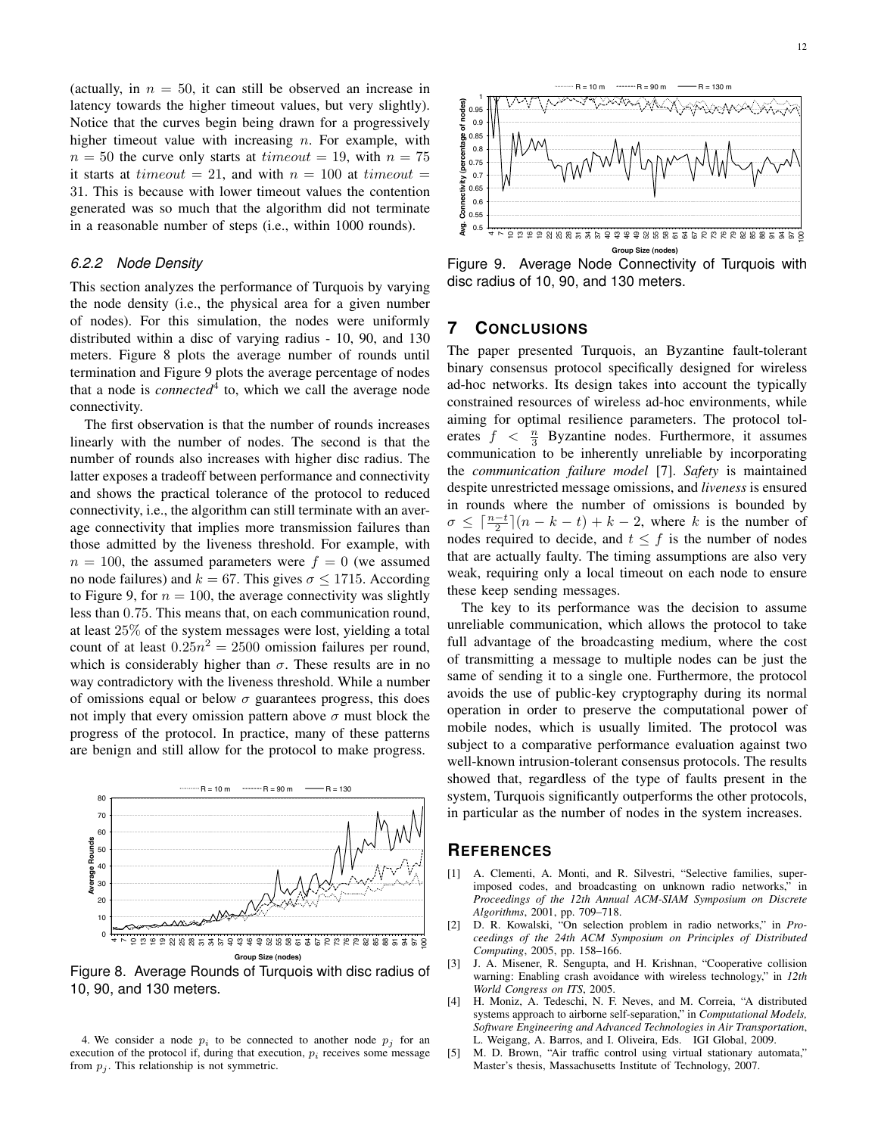(actually, in  $n = 50$ , it can still be observed an increase in latency towards the higher timeout values, but very slightly). Notice that the curves begin being drawn for a progressively higher timeout value with increasing  $n$ . For example, with  $n = 50$  the curve only starts at  $timeout = 19$ , with  $n = 75$ it starts at *timeout* = 21, and with  $n = 100$  at *timeout* = 31. This is because with lower timeout values the contention generated was so much that the algorithm did not terminate in a reasonable number of steps (i.e., within 1000 rounds).

#### *6.2.2 Node Density*

This section analyzes the performance of Turquois by varying the node density (i.e., the physical area for a given number of nodes). For this simulation, the nodes were uniformly distributed within a disc of varying radius - 10, 90, and 130 meters. Figure 8 plots the average number of rounds until termination and Figure 9 plots the average percentage of nodes that a node is *connected*<sup>4</sup> to, which we call the average node connectivity.

The first observation is that the number of rounds increases linearly with the number of nodes. The second is that the number of rounds also increases with higher disc radius. The latter exposes a tradeoff between performance and connectivity and shows the practical tolerance of the protocol to reduced connectivity, i.e., the algorithm can still terminate with an average connectivity that implies more transmission failures than those admitted by the liveness threshold. For example, with  $n = 100$ , the assumed parameters were  $f = 0$  (we assumed no node failures) and  $k = 67$ . This gives  $\sigma \le 1715$ . According to Figure 9, for  $n = 100$ , the average connectivity was slightly less than 0.75. This means that, on each communication round, at least 25% of the system messages were lost, yielding a total count of at least  $0.25n^2 = 2500$  omission failures per round, which is considerably higher than  $\sigma$ . These results are in no way contradictory with the liveness threshold. While a number of omissions equal or below  $\sigma$  guarantees progress, this does not imply that every omission pattern above  $\sigma$  must block the progress of the protocol. In practice, many of these patterns are benign and still allow for the protocol to make progress.



Figure 8. Average Rounds of Turquois with disc radius of 10, 90, and 130 meters.





Figure 9. Average Node Connectivity of Turquois with disc radius of 10, 90, and 130 meters.

## **7 CONCLUSIONS**

The paper presented Turquois, an Byzantine fault-tolerant binary consensus protocol specifically designed for wireless ad-hoc networks. Its design takes into account the typically constrained resources of wireless ad-hoc environments, while aiming for optimal resilience parameters. The protocol tolerates  $f < \frac{n}{3}$  Byzantine nodes. Furthermore, it assumes communication to be inherently unreliable by incorporating the *communication failure model* [7]. *Safety* is maintained despite unrestricted message omissions, and *liveness* is ensured in rounds where the number of omissions is bounded by  $\sigma \leq \lceil \frac{n-t}{2} \rceil (n-k-t) + k - 2$ , where k is the number of nodes required to decide, and  $t \leq f$  is the number of nodes that are actually faulty. The timing assumptions are also very weak, requiring only a local timeout on each node to ensure these keep sending messages.

The key to its performance was the decision to assume unreliable communication, which allows the protocol to take full advantage of the broadcasting medium, where the cost of transmitting a message to multiple nodes can be just the same of sending it to a single one. Furthermore, the protocol avoids the use of public-key cryptography during its normal operation in order to preserve the computational power of mobile nodes, which is usually limited. The protocol was subject to a comparative performance evaluation against two well-known intrusion-tolerant consensus protocols. The results showed that, regardless of the type of faults present in the system, Turquois significantly outperforms the other protocols, in particular as the number of nodes in the system increases.

## **REFERENCES**

- [1] A. Clementi, A. Monti, and R. Silvestri, "Selective families, superimposed codes, and broadcasting on unknown radio networks," in *Proceedings of the 12th Annual ACM-SIAM Symposium on Discrete Algorithms*, 2001, pp. 709–718.
- [2] D. R. Kowalski, "On selection problem in radio networks," in *Proceedings of the 24th ACM Symposium on Principles of Distributed Computing*, 2005, pp. 158–166.
- [3] J. A. Misener, R. Sengupta, and H. Krishnan, "Cooperative collision warning: Enabling crash avoidance with wireless technology," in *12th World Congress on ITS*, 2005.
- [4] H. Moniz, A. Tedeschi, N. F. Neves, and M. Correia, "A distributed systems approach to airborne self-separation," in *Computational Models, Software Engineering and Advanced Technologies in Air Transportation*, L. Weigang, A. Barros, and I. Oliveira, Eds. IGI Global, 2009.
- [5] M. D. Brown, "Air traffic control using virtual stationary automata," Master's thesis, Massachusetts Institute of Technology, 2007.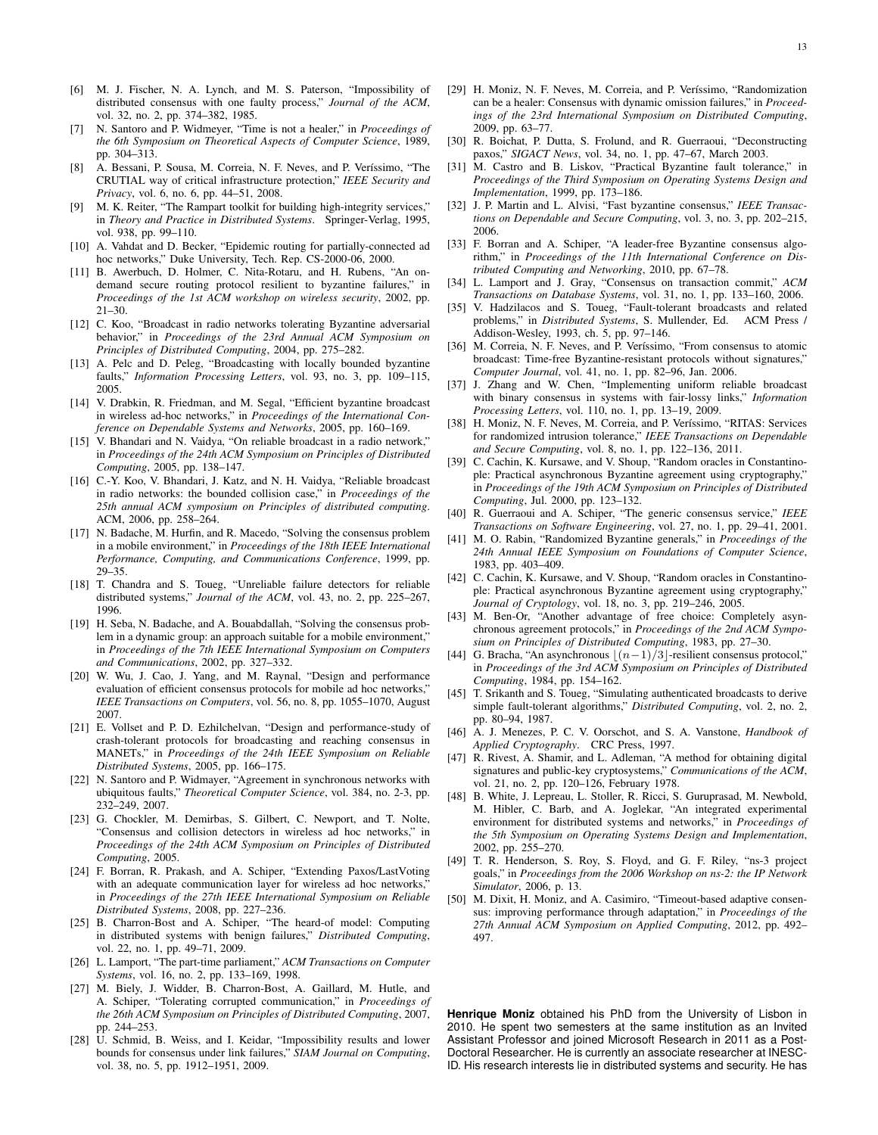- [6] M. J. Fischer, N. A. Lynch, and M. S. Paterson, "Impossibility of distributed consensus with one faulty process," *Journal of the ACM*, vol. 32, no. 2, pp. 374–382, 1985.
- [7] N. Santoro and P. Widmeyer, "Time is not a healer," in *Proceedings of the 6th Symposium on Theoretical Aspects of Computer Science*, 1989, pp. 304–313.
- [8] A. Bessani, P. Sousa, M. Correia, N. F. Neves, and P. Veríssimo, "The CRUTIAL way of critical infrastructure protection," *IEEE Security and Privacy*, vol. 6, no. 6, pp. 44–51, 2008.
- [9] M. K. Reiter, "The Rampart toolkit for building high-integrity services," in *Theory and Practice in Distributed Systems*. Springer-Verlag, 1995, vol. 938, pp. 99–110.
- [10] A. Vahdat and D. Becker, "Epidemic routing for partially-connected ad hoc networks," Duke University, Tech. Rep. CS-2000-06, 2000.
- [11] B. Awerbuch, D. Holmer, C. Nita-Rotaru, and H. Rubens, "An ondemand secure routing protocol resilient to byzantine failures," in *Proceedings of the 1st ACM workshop on wireless security*, 2002, pp. 21–30.
- [12] C. Koo, "Broadcast in radio networks tolerating Byzantine adversarial behavior," in *Proceedings of the 23rd Annual ACM Symposium on Principles of Distributed Computing*, 2004, pp. 275–282.
- [13] A. Pelc and D. Peleg, "Broadcasting with locally bounded byzantine faults," *Information Processing Letters*, vol. 93, no. 3, pp. 109–115, 2005.
- [14] V. Drabkin, R. Friedman, and M. Segal, "Efficient byzantine broadcast in wireless ad-hoc networks," in *Proceedings of the International Conference on Dependable Systems and Networks*, 2005, pp. 160–169.
- [15] V. Bhandari and N. Vaidya, "On reliable broadcast in a radio network," in *Proceedings of the 24th ACM Symposium on Principles of Distributed Computing*, 2005, pp. 138–147.
- [16] C.-Y. Koo, V. Bhandari, J. Katz, and N. H. Vaidya, "Reliable broadcast in radio networks: the bounded collision case," in *Proceedings of the 25th annual ACM symposium on Principles of distributed computing*. ACM, 2006, pp. 258–264.
- [17] N. Badache, M. Hurfin, and R. Macedo, "Solving the consensus problem in a mobile environment," in *Proceedings of the 18th IEEE International Performance, Computing, and Communications Conference*, 1999, pp. 29–35.
- [18] T. Chandra and S. Toueg, "Unreliable failure detectors for reliable distributed systems," *Journal of the ACM*, vol. 43, no. 2, pp. 225–267, 1996.
- [19] H. Seba, N. Badache, and A. Bouabdallah, "Solving the consensus problem in a dynamic group: an approach suitable for a mobile environment," in *Proceedings of the 7th IEEE International Symposium on Computers and Communications*, 2002, pp. 327–332.
- [20] W. Wu, J. Cao, J. Yang, and M. Raynal, "Design and performance evaluation of efficient consensus protocols for mobile ad hoc networks,' *IEEE Transactions on Computers*, vol. 56, no. 8, pp. 1055–1070, August 2007.
- [21] E. Vollset and P. D. Ezhilchelvan, "Design and performance-study of crash-tolerant protocols for broadcasting and reaching consensus in MANETs," in *Proceedings of the 24th IEEE Symposium on Reliable Distributed Systems*, 2005, pp. 166–175.
- [22] N. Santoro and P. Widmayer, "Agreement in synchronous networks with ubiquitous faults," *Theoretical Computer Science*, vol. 384, no. 2-3, pp. 232–249, 2007.
- [23] G. Chockler, M. Demirbas, S. Gilbert, C. Newport, and T. Nolte, "Consensus and collision detectors in wireless ad hoc networks," in *Proceedings of the 24th ACM Symposium on Principles of Distributed Computing*, 2005.
- [24] F. Borran, R. Prakash, and A. Schiper, "Extending Paxos/LastVoting with an adequate communication layer for wireless ad hoc networks, in *Proceedings of the 27th IEEE International Symposium on Reliable Distributed Systems*, 2008, pp. 227–236.
- [25] B. Charron-Bost and A. Schiper, "The heard-of model: Computing in distributed systems with benign failures," *Distributed Computing*, vol. 22, no. 1, pp. 49–71, 2009.
- [26] L. Lamport, "The part-time parliament," *ACM Transactions on Computer Systems*, vol. 16, no. 2, pp. 133–169, 1998.
- [27] M. Biely, J. Widder, B. Charron-Bost, A. Gaillard, M. Hutle, and A. Schiper, "Tolerating corrupted communication," in *Proceedings of the 26th ACM Symposium on Principles of Distributed Computing*, 2007, pp. 244–253.
- [28] U. Schmid, B. Weiss, and I. Keidar, "Impossibility results and lower bounds for consensus under link failures," *SIAM Journal on Computing*, vol. 38, no. 5, pp. 1912–1951, 2009.
- [29] H. Moniz, N. F. Neves, M. Correia, and P. Veríssimo, "Randomization can be a healer: Consensus with dynamic omission failures," in *Proceedings of the 23rd International Symposium on Distributed Computing*, 2009, pp. 63–77.
- [30] R. Boichat, P. Dutta, S. Frolund, and R. Guerraoui, "Deconstructing paxos," *SIGACT News*, vol. 34, no. 1, pp. 47–67, March 2003.
- [31] M. Castro and B. Liskov, "Practical Byzantine fault tolerance," in *Proceedings of the Third Symposium on Operating Systems Design and Implementation*, 1999, pp. 173–186.
- [32] J. P. Martin and L. Alvisi, "Fast byzantine consensus," *IEEE Transactions on Dependable and Secure Computing*, vol. 3, no. 3, pp. 202–215, 2006.
- [33] F. Borran and A. Schiper, "A leader-free Byzantine consensus algorithm," in *Proceedings of the 11th International Conference on Distributed Computing and Networking*, 2010, pp. 67–78.
- [34] L. Lamport and J. Gray, "Consensus on transaction commit," *ACM Transactions on Database Systems*, vol. 31, no. 1, pp. 133–160, 2006.
- [35] V. Hadzilacos and S. Toueg, "Fault-tolerant broadcasts and related problems," in *Distributed Systems*, S. Mullender, Ed. ACM Press / Addison-Wesley, 1993, ch. 5, pp. 97–146.
- [36] M. Correia, N. F. Neves, and P. Veríssimo, "From consensus to atomic broadcast: Time-free Byzantine-resistant protocols without signatures," *Computer Journal*, vol. 41, no. 1, pp. 82–96, Jan. 2006.
- [37] J. Zhang and W. Chen, "Implementing uniform reliable broadcast with binary consensus in systems with fair-lossy links," *Information Processing Letters*, vol. 110, no. 1, pp. 13–19, 2009.
- [38] H. Moniz, N. F. Neves, M. Correia, and P. Veríssimo, "RITAS: Services for randomized intrusion tolerance," *IEEE Transactions on Dependable and Secure Computing*, vol. 8, no. 1, pp. 122–136, 2011.
- [39] C. Cachin, K. Kursawe, and V. Shoup, "Random oracles in Constantinople: Practical asynchronous Byzantine agreement using cryptography," in *Proceedings of the 19th ACM Symposium on Principles of Distributed Computing*, Jul. 2000, pp. 123–132.
- [40] R. Guerraoui and A. Schiper, "The generic consensus service," *IEEE Transactions on Software Engineering*, vol. 27, no. 1, pp. 29–41, 2001.
- [41] M. O. Rabin, "Randomized Byzantine generals," in *Proceedings of the 24th Annual IEEE Symposium on Foundations of Computer Science*, 1983, pp. 403–409.
- [42] C. Cachin, K. Kursawe, and V. Shoup, "Random oracles in Constantinople: Practical asynchronous Byzantine agreement using cryptography," *Journal of Cryptology*, vol. 18, no. 3, pp. 219–246, 2005.
- [43] M. Ben-Or, "Another advantage of free choice: Completely asynchronous agreement protocols," in *Proceedings of the 2nd ACM Symposium on Principles of Distributed Computing*, 1983, pp. 27–30.
- [44] G. Bracha, "An asynchronous  $|(n-1)/3|$ -resilient consensus protocol," in *Proceedings of the 3rd ACM Symposium on Principles of Distributed Computing*, 1984, pp. 154–162.
- [45] T. Srikanth and S. Toueg, "Simulating authenticated broadcasts to derive simple fault-tolerant algorithms," *Distributed Computing*, vol. 2, no. 2, pp. 80–94, 1987.
- [46] A. J. Menezes, P. C. V. Oorschot, and S. A. Vanstone, *Handbook of Applied Cryptography*. CRC Press, 1997.
- [47] R. Rivest, A. Shamir, and L. Adleman, "A method for obtaining digital signatures and public-key cryptosystems," *Communications of the ACM*, vol. 21, no. 2, pp. 120–126, February 1978.
- [48] B. White, J. Lepreau, L. Stoller, R. Ricci, S. Guruprasad, M. Newbold, M. Hibler, C. Barb, and A. Joglekar, "An integrated experimental environment for distributed systems and networks," in *Proceedings of the 5th Symposium on Operating Systems Design and Implementation*, 2002, pp. 255–270.
- [49] T. R. Henderson, S. Roy, S. Floyd, and G. F. Riley, "ns-3 project goals," in *Proceedings from the 2006 Workshop on ns-2: the IP Network Simulator*, 2006, p. 13.
- [50] M. Dixit, H. Moniz, and A. Casimiro, "Timeout-based adaptive consensus: improving performance through adaptation," in *Proceedings of the 27th Annual ACM Symposium on Applied Computing*, 2012, pp. 492– 497.

**Henrique Moniz** obtained his PhD from the University of Lisbon in 2010. He spent two semesters at the same institution as an Invited Assistant Professor and joined Microsoft Research in 2011 as a Post-Doctoral Researcher. He is currently an associate researcher at INESC-ID. His research interests lie in distributed systems and security. He has